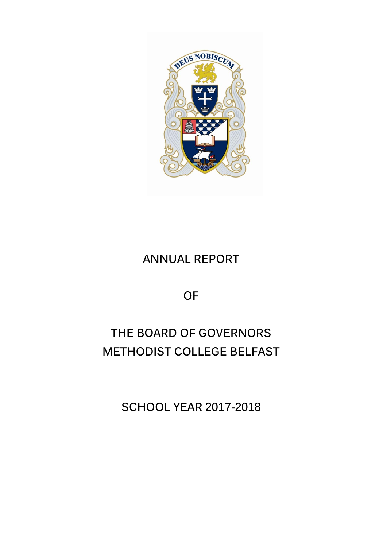

# **ANNUAL REPORT**

**OF**

# **THE BOARD OF GOVERNORS METHODIST COLLEGE BELFAST**

**SCHOOL YEAR 2017-2018**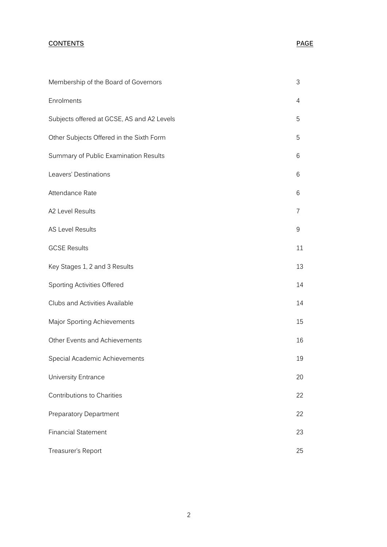## **CONTENTS PAGE**

| Membership of the Board of Governors       | 3  |
|--------------------------------------------|----|
| Enrolments                                 | 4  |
| Subjects offered at GCSE, AS and A2 Levels | 5  |
| Other Subjects Offered in the Sixth Form   | 5  |
| Summary of Public Examination Results      | 6  |
| Leavers' Destinations                      | 6  |
| Attendance Rate                            | 6  |
| A2 Level Results                           | 7  |
| <b>AS Level Results</b>                    | 9  |
| <b>GCSE Results</b>                        | 11 |
| Key Stages 1, 2 and 3 Results              | 13 |
| Sporting Activities Offered                | 14 |
| Clubs and Activities Available             | 14 |
| Major Sporting Achievements                | 15 |
| Other Events and Achievements              | 16 |
| Special Academic Achievements              | 19 |
| <b>University Entrance</b>                 | 20 |
| <b>Contributions to Charities</b>          | 22 |
| Preparatory Department                     | 22 |
| <b>Financial Statement</b>                 | 23 |
| Treasurer's Report                         | 25 |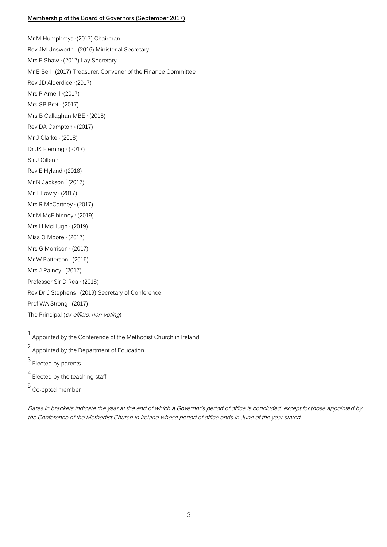#### **Membership of the Board of Governors (September 2017)**

Mr M Humphreys <sup>3</sup> (2017) Chairman Rev JM Unsworth 1 (2016) Ministerial Secretary Mrs E Shaw <sup>2</sup> (2017) Lay Secretary Mr E Bell 1 (2017) Treasurer, Convener of the Finance Committee Rev JD Alderdice 1 (2017) Mrs P Arneill <sup>2</sup> (2017) Mrs SP Bret  $2(2017)$ Mrs B Callaghan MBE <sup>1</sup> (2018) Rev DA Campton <sup>1</sup> (2017) Mr J Clarke  $(2018)$ Dr JK Fleming 3 (2017) Sir J Gillen<sup>5</sup> Rev E Hyland 1 (2018) Mr N Jackson $(2017)$ Mr T Lowry  $(2017)$ Mrs R McCartney 4 (2017) Mr M McElhinney 1 (2019) Mrs H McHugh $\pm$  (2019) Miss O Moore <sup>4</sup> (2017) Mrs G Morrison 4 (2017) Mr W Patterson <sup>1</sup> (2016) Mrs J Rainey  $(2017)$ Professor Sir D Rea <sup>1</sup> (2018) Rev Dr J Stephens <sup>1</sup> (2019) Secretary of Conference Prof WA Strong <sup>1</sup> (2017) The Principal (ex officio, non-voting)

 $1$  Appointed by the Conference of the Methodist Church in Ireland

2 Appointed by the Department of Education

3 Elected by parents

4 Elected by the teaching staff

5 Co-opted member

Dates in brackets indicate the year at the end of which a Governor's period of office is concluded, except for those appointed by the Conference of the Methodist Church in Ireland whose period of office ends in June of the year stated.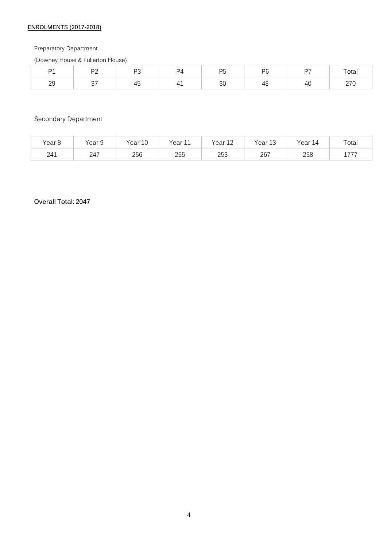## **ENROLMENTS (2017-2018)**

## Preparatory Department

(Downey House & Fullerton House)

| $\mathbf{D}$<br>$\mathbf{1}$ | r c<br>$\cdot$ $-$ | n <sub>c</sub> | $D^{\Lambda}$<br>. <u>.</u> | .<br>$\sim$ | DG | D7<br>∽ | Total                             |
|------------------------------|--------------------|----------------|-----------------------------|-------------|----|---------|-----------------------------------|
| 29                           | $\sim$ $-$         | +ບ             | . .                         | 30          | '' | 40      | $\sim$ $\sim$ $\sim$<br>$- \cdot$ |

## Secondary Department

| Year <sub>8</sub> | $\sim$<br>Year 9 | 10<br>Year. | $\overline{A}$<br>Year<br>ᆠᆂ | Year<br>1 <sub>0</sub><br>ᅩᄼ | Year<br>$\sim$<br>шū | Year<br>14 | $\tau$ otai |
|-------------------|------------------|-------------|------------------------------|------------------------------|----------------------|------------|-------------|
| 241               | 247              | 256         | 255                          | つにつ<br>د∪∠                   | 267                  | 258        | ラララ<br>---  |

## **Overall Total: 2047**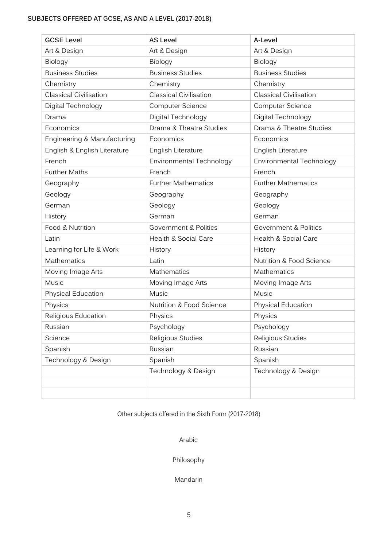## **SUBJECTS OFFERED AT GCSE, AS AND A LEVEL (2017-2018)**

| <b>GCSE Level</b>             | <b>AS Level</b>                  | A-Level                             |
|-------------------------------|----------------------------------|-------------------------------------|
| Art & Design                  | Art & Design                     | Art & Design                        |
| Biology                       | Biology                          | Biology                             |
| <b>Business Studies</b>       | <b>Business Studies</b>          | <b>Business Studies</b>             |
| Chemistry                     | Chemistry                        | Chemistry                           |
| <b>Classical Civilisation</b> | <b>Classical Civilisation</b>    | <b>Classical Civilisation</b>       |
| Digital Technology            | <b>Computer Science</b>          | <b>Computer Science</b>             |
| Drama                         | Digital Technology               | Digital Technology                  |
| Economics                     | Drama & Theatre Studies          | Drama & Theatre Studies             |
| Engineering & Manufacturing   | Economics                        | Economics                           |
| English & English Literature  | English Literature               | English Literature                  |
| French                        | Environmental Technology         | Environmental Technology            |
| <b>Further Maths</b>          | French                           | French                              |
| Geography                     | <b>Further Mathematics</b>       | <b>Further Mathematics</b>          |
| Geology                       | Geography                        | Geography                           |
| German                        | Geology                          | Geology                             |
| History                       | German                           | German                              |
| Food & Nutrition              | <b>Government &amp; Politics</b> | Government & Politics               |
| Latin                         | Health & Social Care             | Health & Social Care                |
| Learning for Life & Work      | History                          | History                             |
| Mathematics                   | Latin                            | <b>Nutrition &amp; Food Science</b> |
| Moving Image Arts             | Mathematics                      | <b>Mathematics</b>                  |
| Music                         | Moving Image Arts                | Moving Image Arts                   |
| Physical Education            | Music                            | Music                               |
| Physics                       | Nutrition & Food Science         | Physical Education                  |
| Religious Education           | Physics                          | Physics                             |
| Russian                       | Psychology                       | Psychology                          |
| Science                       | Religious Studies                | Religious Studies                   |
| Spanish                       | Russian                          | Russian                             |
| Technology & Design           | Spanish                          | Spanish                             |
|                               | Technology & Design              | Technology & Design                 |
|                               |                                  |                                     |
|                               |                                  |                                     |

Other subjects offered in the Sixth Form (2017-2018)

Arabic

Philosophy

Mandarin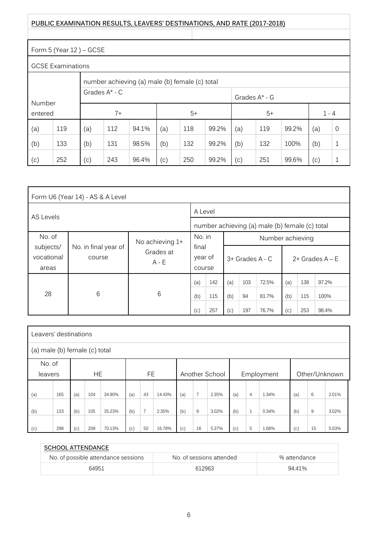## **PUBLIC EXAMINATION RESULTS, LEAVERS' DESTINATIONS, AND RATE (2017-2018)**

## Form 5 (Year 12 ) – GCSE

GCSE Examinations

|         | ᇰᇰᇰᆮ ᆮハᅉᆢᆢᆢ ᡤᅉᅝᅌᄼ |                                                |                    |       |     |                  |       |                    |     |       |     |   |  |  |
|---------|-------------------|------------------------------------------------|--------------------|-------|-----|------------------|-------|--------------------|-----|-------|-----|---|--|--|
|         |                   | number achieving (a) male (b) female (c) total |                    |       |     |                  |       |                    |     |       |     |   |  |  |
|         |                   |                                                | Grades $A^*$ - $C$ |       |     | Grades $A^*$ - G |       |                    |     |       |     |   |  |  |
| Number  |                   |                                                |                    |       |     |                  |       |                    |     |       |     |   |  |  |
| entered |                   | $7+$<br>$5+$                                   |                    |       |     |                  |       | $5+$<br>$1 - 4$    |     |       |     |   |  |  |
| (a)     | 119               | (a)                                            | 112                | 94.1% | (a) | 118              | 99.2% | (a)                | 119 | 99.2% | (a) | 0 |  |  |
| (b)     | 133               | (b)<br>132<br>(b)<br>131<br>98.5%<br>99.2%     |                    |       |     |                  |       | (b)                | 132 | 100%  | (b) |   |  |  |
| (c)     | 252               | (c)                                            | 243                | 96.4% | (c) | 250              | 99.2% | $\left(  c\right)$ | 251 | 99.6% | (c) |   |  |  |

|                                  | Form U6 (Year 14) - AS & A Level               |                      |                            |     |                                      |     |       |       |     |       |  |  |
|----------------------------------|------------------------------------------------|----------------------|----------------------------|-----|--------------------------------------|-----|-------|-------|-----|-------|--|--|
| AS Levels                        | A Level                                        |                      |                            |     |                                      |     |       |       |     |       |  |  |
|                                  | number achieving (a) male (b) female (c) total |                      |                            |     |                                      |     |       |       |     |       |  |  |
| No. of                           | No achieving 1+                                |                      | No. in<br>Number achieving |     |                                      |     |       |       |     |       |  |  |
| subjects/<br>vocational<br>areas | No. in final year of<br>course                 | Grades at<br>$A - E$ | final<br>year of<br>course |     | 3+ Grades A - C<br>$2+$ Grades A – E |     |       |       |     |       |  |  |
|                                  |                                                |                      | (a)                        | 142 | (a)                                  | 103 | 72.5% | (a)   | 138 | 97.2% |  |  |
| 28<br>6<br>6                     |                                                |                      |                            | 115 | (b)                                  | 94  | 81.7% | (b)   | 115 | 100%  |  |  |
|                                  | (c)                                            | 257                  | (c)                        | 197 | 76.7%                                | (c) | 253   | 98.4% |     |       |  |  |

| Leavers' destinations         |                                                                      |     |     |        |     |                |        |     |                |       |     |                |       |     |    |       |
|-------------------------------|----------------------------------------------------------------------|-----|-----|--------|-----|----------------|--------|-----|----------------|-------|-----|----------------|-------|-----|----|-------|
| (a) male (b) female (c) total |                                                                      |     |     |        |     |                |        |     |                |       |     |                |       |     |    |       |
| No. of                        |                                                                      |     |     |        |     |                |        |     |                |       |     |                |       |     |    |       |
|                               | FE<br>HE<br>Another School<br>Other/Unknown<br>Employment<br>leavers |     |     |        |     |                |        |     |                |       |     |                |       |     |    |       |
|                               |                                                                      |     |     |        |     |                |        |     |                |       |     |                |       |     |    |       |
| (a)                           | 165                                                                  | (a) | 104 | 34.90% | (a) | 43             | 14.43% | (a) | $\overline{7}$ | 2.35% | (a) | $\overline{4}$ | 1.34% | (a) | 6  | 2.01% |
| (b)                           | 133                                                                  | (b) | 105 | 35.23% | (b) | $\overline{7}$ | 2.35%  | (b) | 9              | 3.02% | (b) | $\mathbf{1}$   | 0.34% | (b) | 9  | 3.02% |
| (c)                           | 298                                                                  | (c) | 209 | 70.13% | (c) | 50             | 16.78% | (c) | 16             | 5.37% | (c) | 5              | 1.68% | (c) | 15 | 5.03% |

| <b>SCHOOL ATTENDANCE</b>            |                          |              |
|-------------------------------------|--------------------------|--------------|
| No. of possible attendance sessions | No. of sessions attended | % attendance |
| 64951                               | 612963                   | 94 41%       |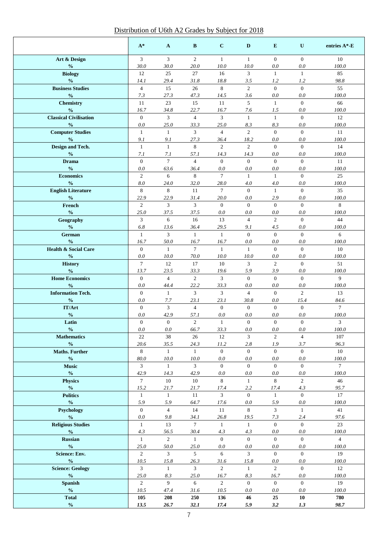## Distribution of U6th A2 Grades by Subject for 2018

|                                                            | $A^*$                  | $\mathbf{A}$         | B                      | $\mathbf{C}$           | D                      | E                     | U                       | entries A*-E   |
|------------------------------------------------------------|------------------------|----------------------|------------------------|------------------------|------------------------|-----------------------|-------------------------|----------------|
| Art & Design                                               | $\overline{3}$         | $\overline{3}$       | 2                      | $\mathbf{1}$           | $\mathbf{1}$           | $\overline{0}$        | $\overline{0}$          | 10             |
| $\frac{0}{0}$                                              | 30.0                   | 30.0                 | 20.0                   | 10.0                   | 10.0                   | 0.0                   | 0.0                     | 100.0          |
| <b>Biology</b>                                             | 12                     | 25                   | 27                     | 16                     | 3                      | $\mathbf{1}$          | $\mathbf{1}$            | 85             |
| $\frac{0}{0}$<br><b>Business Studies</b>                   | 14.1<br>$\overline{4}$ | 29.4<br>15           | 31.8<br>$26\,$         | 18.8<br>8              | 3.5<br>$\overline{2}$  | 1.2<br>$\overline{0}$ | 1.2<br>$\overline{0}$   | 98.8<br>55     |
| $\frac{0}{0}$                                              | 7.3                    | 27.3                 | 47.3                   | 14.5                   | 3.6                    | 0.0                   | 0.0                     | 100.0          |
| <b>Chemistry</b>                                           | 11                     | 23                   | 15                     | 11                     | 5                      | $\mathbf{1}$          | $\overline{0}$          | 66             |
| $\frac{0}{0}$                                              | 16.7                   | 34.8                 | 22.7                   | 16.7                   | 7.6                    | 1.5                   | 0.0                     | 100.0          |
| <b>Classical Civilisation</b>                              | $\overline{0}$         | $\mathfrak{Z}$       | $\overline{4}$         | $\overline{3}$         | $\mathbf{1}$           | $\mathbf{1}$          | $\overline{0}$          | 12             |
| $\frac{0}{0}$                                              | 0.0                    | 25.0                 | 33.3                   | 25.0                   | 8.3                    | 8.3                   | 0.0                     | 100.0          |
| <b>Computer Studies</b><br>$\frac{0}{0}$                   | $\mathbf{1}$<br>9.1    | $\mathbf{1}$<br>9.1  | 3<br>27.3              | $\overline{4}$<br>36.4 | $\overline{c}$<br>18.2 | $\mathbf{0}$<br>0.0   | $\mathbf{0}$<br>0.0     | 11<br>100.0    |
| Design and Tech.                                           | $\mathbf{1}$           | $\mathbf{1}$         | $\,8\,$                | $\overline{2}$         | $\overline{c}$         | $\mathbf{0}$          | $\mathbf{0}$            | 14             |
| $\frac{0}{0}$                                              | 7.1                    | 7.1                  | 57.1                   | 14.3                   | 14.3                   | 0.0                   | 0.0                     | 100.0          |
| <b>Drama</b>                                               | $\mathbf{0}$           | $\overline{7}$       | $\overline{4}$         | $\overline{0}$         | $\overline{0}$         | $\overline{0}$        | $\overline{0}$          | 11             |
| $\frac{0}{0}$                                              | 0.0                    | 63.6                 | 36.4                   | 0.0                    | 0.0                    | 0.0                   | 0.0                     | 100.0          |
| <b>Economics</b>                                           | $\overline{2}$         | 6                    | 8                      | $\overline{7}$         | $\mathbf{1}$           | $\mathbf{1}$          | $\overline{0}$          | 25             |
| $\frac{0}{0}$                                              | 8.0                    | 24.0                 | 32.0                   | 28.0                   | 4.0                    | 4.0                   | 0.0                     | 100.0          |
| <b>English Literature</b><br>$\frac{0}{0}$                 | 8<br>22.9              | 8<br>22.9            | 11<br>31.4             | $\tau$<br>20.0         | $\Omega$<br>0.0        | $\mathbf{1}$<br>2.9   | $\overline{0}$<br>0.0   | 35<br>100.0    |
| French                                                     | $\overline{2}$         | $\mathfrak{Z}$       | $\overline{3}$         | $\overline{0}$         | $\overline{0}$         | $\overline{0}$        | $\mathbf{0}$            | 8              |
| $\frac{0}{0}$                                              | 25.0                   | 37.5                 | 37.5                   | 0.0                    | 0.0                    | 0.0                   | 0.0                     | 100.0          |
| Geography                                                  | $\overline{3}$         | 6                    | 16                     | 13                     | $\overline{4}$         | $\overline{2}$        | $\Omega$                | 44             |
| $\boldsymbol{\theta}\!/\!\boldsymbol{_{0}}$                | 6.8                    | 13.6                 | 36.4                   | 29.5                   | 9.1                    | 4.5                   | 0.0                     | 100.0          |
| German                                                     | $\mathbf{1}$           | 3                    | $\mathbf{1}$           | $\mathbf{1}$           | $\Omega$               | $\overline{0}$        | $\overline{0}$          | 6              |
| $\frac{0}{0}$<br><b>Health &amp; Social Care</b>           | 16.7<br>$\overline{0}$ | 50.0<br>$\mathbf{1}$ | 16.7<br>$\tau$         | 16.7<br>$\mathbf{1}$   | 0.0<br>$\mathbf{1}$    | 0.0<br>$\overline{0}$ | 0.0<br>$\overline{0}$   | 100.0<br>10    |
| $\frac{0}{0}$                                              | 0.0                    | 10.0                 | 70.0                   | 10.0                   | 10.0                   | 0.0                   | 0.0                     | 100.0          |
| <b>History</b>                                             | $\tau$                 | 12                   | 17                     | 10                     | 3                      | $\overline{2}$        | $\mathbf{0}$            | 51             |
| $\frac{0}{0}$                                              | 13.7                   | 23.5                 | 33.3                   | 19.6                   | 5.9                    | 3.9                   | $0.0\,$                 | 100.0          |
| <b>Home Economics</b>                                      | $\mathbf{0}$           | $\overline{4}$       | $\overline{2}$         | 3                      | $\overline{0}$         | $\overline{0}$        | $\overline{0}$          | 9              |
| $\frac{0}{0}$                                              | 0.0                    | 44.4                 | 22.2                   | 33.3                   | 0.0                    | 0.0                   | 0.0                     | 100.0          |
| <b>Information Tech.</b><br>$\frac{0}{0}$                  | $\mathbf{0}$<br>0.0    | $\mathbf{1}$<br>7.7  | 3<br>23.1              | $\overline{3}$<br>23.1 | $\overline{4}$<br>30.8 | $\overline{0}$<br>0.0 | $\overline{2}$<br>15.4  | 13<br>84.6     |
| IT/Art                                                     | $\mathbf{0}$           | 3                    | $\overline{4}$         | $\overline{0}$         | $\overline{0}$         | $\mathbf{0}$          | $\mathbf{0}$            | $\tau$         |
| $\frac{0}{0}$                                              | 0.0                    | 42.9                 | 57.1                   | 0.0                    | 0.0                    | 0.0                   | 0.0                     | 100.0          |
| Latin                                                      | $\boldsymbol{0}$       | $\mathbf{0}$         | $\overline{c}$         | $\mathbf{1}$           | $\boldsymbol{0}$       | $\boldsymbol{0}$      | $\boldsymbol{0}$        | 3              |
| $\mathbf{0}_{\mathbf{0}}^{\prime}$                         | $0.0\,$                | $0.0\,$              | 66.7                   | 33.3                   | 0.0                    | $0.0\,$               | 0.0                     | $100.0\,$      |
| <b>Mathematics</b>                                         | $22\,$                 | 38                   | 26                     | 12                     | 3                      | $\overline{2}$        | $\overline{4}$          | $107\,$        |
| $\frac{0}{0}$<br><b>Maths. Further</b>                     | 20.6<br>8              | 35.5<br>$\mathbf{1}$ | 24.3<br>$\mathbf{1}$   | 11.2<br>$\overline{0}$ | 2.8<br>$\overline{0}$  | 1.9<br>$\overline{0}$ | 3.7<br>$\overline{0}$   | 96.3<br>10     |
| $\frac{0}{0}$                                              | 80.0                   | 10.0                 | 10.0                   | 0.0                    | 0.0                    | 0.0                   | 0.0                     | 100.0          |
| <b>Music</b>                                               | 3                      | $\mathbf{1}$         | $\overline{3}$         | $\overline{0}$         | $\overline{0}$         | $\overline{0}$        | $\mathbf{0}$            | $\tau$         |
| $\frac{0}{0}$                                              | 42.9                   | 14.3                 | 42.9                   | 0.0                    | 0.0                    | 0.0                   | 0.0                     | 100.0          |
| <b>Physics</b>                                             | $\tau$                 | 10                   | 10                     | 8                      | $\mathbf{1}$           | 8                     | $\overline{c}$          | 46             |
| $\frac{0}{0}$                                              | 15.2                   | 21.7                 | 21.7                   | 17.4                   | 2.2                    | 17.4                  | 4.3                     | 95.7           |
| <b>Politics</b><br>$\frac{0}{0}$                           | $\mathbf{1}$<br>5.9    | $\mathbf{1}$<br>5.9  | 11<br>64.7             | 3<br>17.6              | $\mathbf{0}$<br>0.0    | $\mathbf{1}$<br>5.9   | $\mathbf{0}$<br>$0.0\,$ | 17<br>100.0    |
| <b>Psychology</b>                                          | $\mathbf{0}$           | $\overline{4}$       | 14                     | 11                     | 8                      | $\mathfrak{Z}$        | $\mathbf{1}$            | 41             |
| $\boldsymbol{\theta}/_{\!\!\!0}$                           | 0.0                    | $9.8\,$              | 34.1                   | 26.8                   | 19.5                   | 7.3                   | 2.4                     | 97.6           |
| <b>Religious Studies</b>                                   | $\mathbf{1}$           | 13                   | $\tau$                 | $\mathbf{1}$           | $\mathbf{1}$           | $\overline{0}$        | $\mathbf{0}$            | 23             |
| $\frac{0}{0}$                                              | 4.3                    | 56.5                 | 30.4                   | 4.3                    | 4.3                    | $0.0\,$               | 0.0                     | 100.0          |
| <b>Russian</b>                                             | $\mathbf{1}$           | 2                    | 1                      | $\mathbf{0}$           | $\overline{0}$         | $\mathbf{0}$          | $\boldsymbol{0}$        | $\overline{4}$ |
| $\mathbf{0}_{\mathbf{0}}^{\prime}$<br><b>Science: Env.</b> | 25.0<br>$\overline{2}$ | 50.0<br>$\mathbf{3}$ | 25.0<br>$\mathfrak{S}$ | 0.0<br>6               | 0.0<br>3               | 0.0<br>$\mathbf{0}$   | 0.0<br>$\mathbf{0}$     | 100.0<br>19    |
| $\frac{0}{0}$                                              | 10.5                   | 15.8                 | 26.3                   | 31.6                   | 15.8                   | 0.0                   | 0.0                     | 100.0          |
| <b>Science: Geology</b>                                    | $\overline{3}$         | $\mathbf{1}$         | 3                      | $\overline{2}$         | 1                      | $\overline{2}$        | $\boldsymbol{0}$        | 12             |
| $\mathbf{0}_{\mathbf{0}}^{\prime}$                         | 25.0                   | 8.3                  | 25.0                   | 16.7                   | 8.3                    | 16.7                  | 0.0                     | 100.0          |
| <b>Spanish</b>                                             | $\overline{2}$         | 9                    | 6                      | $\overline{2}$         | $\overline{0}$         | $\overline{0}$        | $\mathbf{0}$            | 19             |
| $\frac{6}{10}$                                             | 10.5                   | 47.4                 | 31.6                   | 10.5                   | 0.0                    | 0.0                   | 0.0                     | 100.0          |
| <b>Total</b><br>$\frac{0}{0}$                              | 105<br>13.5            | 208<br>26.7          | 250<br>32.1            | 136<br>17.4            | 46<br>5.9              | 25<br>3.2             | 10<br>1.3               | 780<br>98.7    |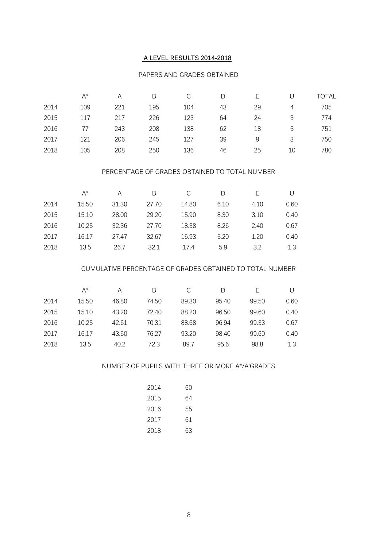## **A LEVEL RESULTS 2014-2018**

#### PAPERS AND GRADES OBTAINED

|      | A*  | А   | B   | С   |    | E  |    | <b>TOTAL</b> |
|------|-----|-----|-----|-----|----|----|----|--------------|
| 2014 | 109 | 221 | 195 | 104 | 43 | 29 | 4  | 705          |
| 2015 | 117 | 217 | 226 | 123 | 64 | 24 | 3  | 774          |
| 2016 |     | 243 | 208 | 138 | 62 | 18 | 5  | 751          |
| 2017 | 121 | 206 | 245 | 127 | 39 | 9  | 3  | 750          |
| 2018 | 105 | 208 | 250 | 136 | 46 | 25 | 10 | 780          |

#### PERCENTAGE OF GRADES OBTAINED TO TOTAL NUMBER

|      | A*    | A     | B     |       | D    |      |      |
|------|-------|-------|-------|-------|------|------|------|
| 2014 | 15.50 | 31.30 | 27.70 | 14.80 | 6.10 | 4.10 | 0.60 |
| 2015 | 15.10 | 28.00 | 29.20 | 15.90 | 8.30 | 3.10 | 0.40 |
| 2016 | 10.25 | 32.36 | 27.70 | 18.38 | 8.26 | 2.40 | 0.67 |
| 2017 | 16.17 | 27.47 | 32.67 | 16.93 | 5.20 | 1.20 | 0.40 |
| 2018 | 13.5  | 26.7  | 32.1  | 17.4  | 5.9  | 3.2  | 1.3  |

#### CUMULATIVE PERCENTAGE OF GRADES OBTAINED TO TOTAL NUMBER

|      | A*    | Α     | В     | C     | D     | F     |      |
|------|-------|-------|-------|-------|-------|-------|------|
| 2014 | 15.50 | 46.80 | 74.50 | 89.30 | 95.40 | 99.50 | 0.60 |
| 2015 | 15.10 | 43.20 | 72.40 | 88.20 | 96.50 | 99.60 | 0.40 |
| 2016 | 10.25 | 42.61 | 70.31 | 88.68 | 96.94 | 99.33 | 0.67 |
| 2017 | 16.17 | 43.60 | 76.27 | 93.20 | 98.40 | 99.60 | 0.40 |
| 2018 | 13.5  | 40.2  | 72.3  | 89.7  | 95.6  | 98.8  | 1.3  |

#### NUMBER OF PUPILS WITH THREE OR MORE A\*/A'GRADES

| 2014 | 60 |
|------|----|
| 2015 | 64 |
| 2016 | 55 |
| 2017 | 61 |
| 2018 | 63 |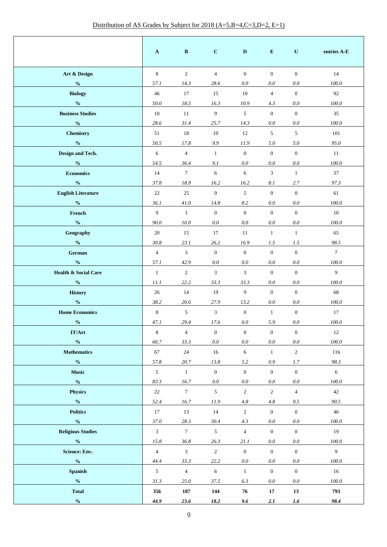|                                             | $\mathbf{A}$    | $\, {\bf B}$   | $\mathbf{C}$     | D                | E                | ${\bf U}$        | entries A-E |
|---------------------------------------------|-----------------|----------------|------------------|------------------|------------------|------------------|-------------|
| Art & Design                                | 8               | $\overline{2}$ | $\overline{4}$   | $\overline{0}$   | $\mathbf{0}$     | $\mathbf{0}$     | 14          |
| $\frac{0}{0}$                               | 57.1            | 14.3           | 28.6             | 0.0              | 0.0              | 0.0              | 100.0       |
| <b>Biology</b>                              | 46              | 17             | 15               | 10               | $\overline{4}$   | $\boldsymbol{0}$ | 92          |
| $\mathbf{0}_{\mathbf{0}}^{\prime}$          | 50.0            | 18.5           | 16.3             | 10.9             | 4.3              | 0.0              | $100.0\,$   |
| <b>Business Studies</b>                     | 10              | 11             | 9                | 5                | $\mathbf{0}$     | $\mathbf{0}$     | 35          |
| $\frac{0}{0}$                               | 28.6            | 31.4           | 25.7             | 14.3             | 0.0              | 0.0              | 100.0       |
| <b>Chemistry</b>                            | 51              | 18             | 10               | 12               | 5                | 5                | 101         |
| $\frac{0}{0}$                               | 50.5            | 17.8           | 9.9              | 11.9             | 5.0              | 5.0              | 95.0        |
| Design and Tech.                            | 6               | $\overline{4}$ | $\mathbf{1}$     | $\mathbf{0}$     | $\mathbf{0}$     | $\boldsymbol{0}$ | 11          |
| $\mathbf{0}_{\mathbf{0}}^{\prime}$          | 54.5            | 36.4           | 9.1              | 0.0              | 0.0              | 0.0              | 100.0       |
| <b>Economics</b>                            | 14              | $\tau$         | 6                | 6                | $\overline{3}$   | $\mathbf{1}$     | 37          |
| $\frac{0}{0}$                               | 37.8            | 18.9           | 16.2             | 16.2             | 8.1              | 2.7              | 97.3        |
| <b>English Literature</b>                   | 22              | 25             | 9                | 5                | $\mathbf{0}$     | $\boldsymbol{0}$ | 61          |
| $\boldsymbol{\theta}\!/\!\boldsymbol{_{0}}$ | 36.1            | 41.0           | 14.8             | $8.2\,$          | 0.0              | 0.0              | 100.0       |
| French                                      | 9               | $\mathbf{1}$   | $\overline{0}$   | $\overline{0}$   | $\mathbf{0}$     | $\overline{0}$   | 10          |
| $\frac{0}{0}$                               | 90.0            | 10.0           | 0.0              | 0.0              | 0.0              | 0.0              | 100.0       |
| Geography                                   | 20              | 15             | 17               | 11               | $\mathbf{1}$     | $\mathbf{1}$     | 65          |
| $\frac{0}{0}$                               | 30.8            | 23.1           | 26.2             | 16.9             | 1.5              | 1.5              | 98.5        |
| German                                      | $\overline{4}$  | 3              | $\boldsymbol{0}$ | $\mathbf{0}$     | $\mathbf{0}$     | $\overline{0}$   | $\tau$      |
| $\frac{0}{0}$                               | 57.1            | 42.9           | 0.0              | 0.0              | 0.0              | 0.0              | 100.0       |
| <b>Health &amp; Social Care</b>             | $\mathbf{1}$    | $\overline{2}$ | $\mathfrak{Z}$   | $\mathbf{3}$     | $\mathbf{0}$     | $\overline{0}$   | 9           |
| $\frac{0}{0}$                               | 11.1            | 22.2           | 33.3             | 33.3             | 0.0              | 0.0              | 100.0       |
| <b>History</b>                              | 26              | 14             | 19               | $\boldsymbol{9}$ | $\mathbf{0}$     | $\boldsymbol{0}$ | 68          |
| $\mathbf{0}_{\mathbf{0}}^{\prime}$          | 38.2            | 20.6           | 27.9             | 13.2             | 0.0              | 0.0              | $100.0\,$   |
| <b>Home Economics</b>                       | $\,8\,$         | $\mathfrak{S}$ | $\mathfrak{Z}$   | $\mathbf{0}$     | $\mathbf{1}$     | $\mathbf{0}$     | 17          |
| $\frac{6}{6}$                               | 47.1            | 29.4           | 17.6             | 0.0              | 5.9              | 0.0              | 100.0       |
| <b>IT/Art</b>                               | $\,8\,$         | $\overline{4}$ | $\boldsymbol{0}$ | $\boldsymbol{0}$ | $\boldsymbol{0}$ | $\boldsymbol{0}$ | $12\,$      |
| $\mathbf{0}_{\mathbf{0}}^{\prime}$          | 66.7            | 33.3           | $0.0\,$          | $0.0\,$          | $0.0\,$          | $0.0\,$          | $100.0\,$   |
| <b>Mathematics</b>                          | 67              | $24\,$         | 16               | $\sqrt{6}$       | $\mathbf{1}$     | $\sqrt{2}$       | 116         |
| $\mathbf{0}_{\mathbf{0}}^{\prime}$          | 57.8            | 20.7           | 13.8             | 5.2              | $0.9\,$          | 1.7              | 98.3        |
| <b>Music</b>                                | $5\phantom{.0}$ | $\mathbf{1}$   | $\boldsymbol{0}$ | $\boldsymbol{0}$ | $\boldsymbol{0}$ | $\boldsymbol{0}$ | 6           |
| $\mathbf{0}_{\mathbf{0}}^{\prime}$          | 83.3            | 16.7           | $0.0\,$          | $0.0\,$          | $0.0\,$          | $0.0\,$          | $100.0\,$   |
| <b>Physics</b>                              | 22              | $\overline{7}$ | $\mathfrak{S}$   | $\sqrt{2}$       | $\sqrt{2}$       | $\overline{4}$   | 42          |
| $\frac{0}{0}$                               | 52.4            | 16.7           | 11.9             | $4.8\,$          | $4.8\,$          | 9.5              | 90.5        |
| <b>Politics</b>                             | 17              | 13             | 14               | $\sqrt{2}$       | $\mathbf{0}$     | $\mathbf{0}$     | $46\,$      |
| $\mathbf{0}_{\mathbf{0}}^{\prime}$          | 37.0            | 28.3           | 30.4             | 4.3              | 0.0              | 0.0              | 100.0       |
| <b>Religious Studies</b>                    | $\mathbf{3}$    | $\tau$         | $\sqrt{5}$       | $\overline{4}$   | $\mathbf{0}$     | $\overline{0}$   | 19          |
| $\mathbf{0}_{\mathbf{0}}^{\prime}$          | 15.8            | 36.8           | 26.3             | 21.1             | 0.0              | $0.0\,$          | $100.0\,$   |
| <b>Science: Env.</b>                        | $\overline{4}$  | $\mathfrak{Z}$ | $\sqrt{2}$       | $\mathbf{0}$     | $\mathbf{0}$     | $\overline{0}$   | 9           |
| $\mathbf{0}_{\mathbf{0}}^{\prime}$          | 44.4            | 33.3           | 22.2             | $0.0\,$          | 0.0              | $0.0\,$          | $100.0\,$   |
| <b>Spanish</b>                              | $5\overline{)}$ | $\overline{4}$ | $\sqrt{6}$       | $\mathbf{1}$     | $\boldsymbol{0}$ | $\mathbf{0}$     | 16          |
| $\mathbf{0}_{\mathbf{0}}^{\prime}$          | 31.3            | 25.0           | 37.5             | 6.3              | $0.0\,$          | $0.0\,$          | $100.0\,$   |
| <b>Total</b>                                | 356             | 187            | 144              | 76               | 17               | 13               | 793         |
| $\mathbf{0}_{\mathbf{0}}^{\prime}$          | 44.9            | 23.6           | 18.2             | 9.6              | 2.1              | $1.6\,$          | 98.4        |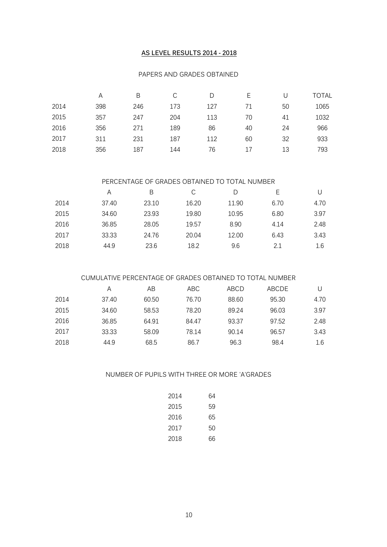#### **AS LEVEL RESULTS 2014 - 2018**

#### PAPERS AND GRADES OBTAINED

|      | А   | B   | С   |     |    |    | TOTAL |
|------|-----|-----|-----|-----|----|----|-------|
| 2014 | 398 | 246 | 173 | 127 | 71 | 50 | 1065  |
| 2015 | 357 | 247 | 204 | 113 | 70 | 41 | 1032  |
| 2016 | 356 | 271 | 189 | 86  | 40 | 24 | 966   |
| 2017 | 311 | 231 | 187 | 112 | 60 | 32 | 933   |
| 2018 | 356 | 187 | 144 | 76  | 17 | 13 | 793   |

#### PERCENTAGE OF GRADES OBTAINED TO TOTAL NUMBER

|      | A     | B     | С     | D     | F    |      |
|------|-------|-------|-------|-------|------|------|
| 2014 | 37.40 | 23.10 | 16.20 | 11.90 | 6.70 | 4.70 |
| 2015 | 34.60 | 23.93 | 19.80 | 10.95 | 6.80 | 3.97 |
| 2016 | 36.85 | 28.05 | 19.57 | 8.90  | 4.14 | 2.48 |
| 2017 | 33.33 | 24.76 | 20.04 | 12.00 | 6.43 | 3.43 |
| 2018 | 44.9  | 23.6  | 18.2  | 9.6   | 2.1  | 1.6  |

## CUMULATIVE PERCENTAGE OF GRADES OBTAINED TO TOTAL NUMBER

|      | A     | AB    | ABC   | ABCD  | ABCDE |      |
|------|-------|-------|-------|-------|-------|------|
| 2014 | 37.40 | 60.50 | 76.70 | 88.60 | 95.30 | 4.70 |
| 2015 | 34.60 | 58.53 | 78.20 | 89.24 | 96.03 | 3.97 |
| 2016 | 36.85 | 64.91 | 84.47 | 93.37 | 97.52 | 2.48 |
| 2017 | 33.33 | 58.09 | 78.14 | 90.14 | 96.57 | 3.43 |
| 2018 | 44.9  | 68.5  | 86.7  | 96.3  | 98.4  | 1.6  |

## NUMBER OF PUPILS WITH THREE OR MORE 'A'GRADES

| 2014 | 64 |
|------|----|
| 2015 | 59 |
| 2016 | 65 |
| 2017 | 50 |
| 2018 | 66 |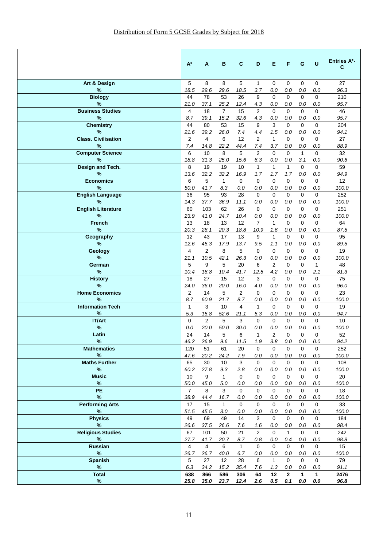|                                 | A*                     | A                      | в                   | C                         | D                      | Е                   | F                      | G                      | U                      | <b>Entries A*-</b><br>C |
|---------------------------------|------------------------|------------------------|---------------------|---------------------------|------------------------|---------------------|------------------------|------------------------|------------------------|-------------------------|
| Art & Design                    | 5                      | 8                      | 8                   | 5                         | $\mathbf{1}$           | $\mathbf 0$         | $\mathbf{0}$           | $\mathbf 0$            | $\mathbf 0$            | 27                      |
| %                               | 18.5                   | 29.6                   | 29.6                | 18.5                      | 3.7                    | 0.0                 | 0.0                    | 0.0                    | 0.0                    | 96.3                    |
| <b>Biology</b><br>%             | 44<br>21.0             | 78<br>37.1             | 53<br>25.2          | 26<br>12.4                | 9<br>4.3               | $\mathbf 0$<br>0.0  | $\mathbf 0$<br>0.0     | $\mathbf 0$<br>0.0     | $\mathbf 0$<br>0.0     | 210<br>95.7             |
| <b>Business Studies</b>         | 4                      | 18                     | $\overline{7}$      | 15                        | 2                      | $\Omega$            | $\Omega$               | $\Omega$               | 0                      | 46                      |
| %                               | 8.7                    | 39.1                   | 15.2                | 32.6                      | 4.3                    | 0.0                 | 0.0                    | 0.0                    | 0.0                    | 95.7                    |
| <b>Chemistry</b>                | 44                     | 80                     | 53                  | 15                        | 9                      | 3                   | $\Omega$               | $\Omega$               | $\Omega$               | 204                     |
| %                               | 21.6                   | 39.2                   | 26.0                | 7.4                       | 4.4                    | 1.5                 | 0.0                    | 0.0                    | 0.0                    | 94.1                    |
| <b>Class. Civilisation</b><br>% | 2<br>7.4               | 4<br>14.8              | 6<br>22.2           | 12<br>44.4                | $\overline{2}$<br>7.4  | $\mathbf{1}$<br>3.7 | $\Omega$<br>0.0        | $\Omega$<br>0.0        | 0<br>0.0               | 27<br>88.9              |
| <b>Computer Science</b>         | 6                      | 10                     | 8                   | 5                         | $\overline{2}$         | $\Omega$            | $\Omega$               | $\mathbf{1}$           | $\Omega$               | 32                      |
| %                               | 18.8                   | 31.3                   | 25.0                | 15.6                      | 6.3                    | 0.0                 | 0.0                    | 3.1                    | 0.0                    | 90.6                    |
| Design and Tech.                | 8                      | 19                     | 19                  | 10                        | $\mathbf{1}$           | $\mathbf{1}$        | $\mathbf{1}$           | $\Omega$               | 0                      | 59                      |
| %                               | 13.6                   | 32.2                   | 32.2                | 16.9                      | 1.7                    | 1.7                 | 1.7                    | 0.0                    | 0.0                    | 94.9                    |
| <b>Economics</b><br>%           | 6<br>50.0              | 5<br>41.7              | $\mathbf{1}$        | $\Omega$<br>0.0           | $\Omega$<br>0.0        | $\Omega$            | $\Omega$<br>0.0        | $\Omega$               | $\Omega$<br>0.0        | 12 <sup>2</sup>         |
| <b>English Language</b>         | 36                     | 95                     | 8.3<br>93           | 28                        | $\Omega$               | 0.0<br>$\Omega$     | $\Omega$               | 0.0<br>$\Omega$        | $\Omega$               | 100.0<br>252            |
| %                               | 14.3                   | 37.7                   | 36.9                | 11.1                      | 0.0                    | 0.0                 | 0.0                    | 0.0                    | 0.0                    | 100.0                   |
| <b>English Literature</b>       | 60                     | 103                    | 62                  | 26                        | $\Omega$               | $\Omega$            | $\Omega$               | $\Omega$               | 0                      | 251                     |
| %                               | 23.9                   | 41.0                   | 24.7                | 10.4                      | 0.0                    | 0.0                 | 0.0                    | 0.0                    | 0.0                    | 100.0                   |
| <b>French</b>                   | 13                     | 18                     | 13                  | 12                        | $\overline{7}$         | $\mathbf{1}$        | $\Omega$               | $\Omega$               | $\Omega$               | 64                      |
| %<br>Geography                  | 20.3<br>12             | 28.1<br>43             | 20.3<br>17          | 18.8<br>13                | 10.9<br>9              | 1.6<br>$\mathbf{1}$ | 0.0<br>$\Omega$        | 0.0<br>$\Omega$        | 0.0<br>0               | 87.5<br>95              |
| %                               | 12.6                   | 45.3                   | 17.9                | 13.7                      | 9.5                    | 1.1                 | 0.0                    | 0.0                    | 0.0                    | 89.5                    |
| Geology                         | 4                      | $\overline{2}$         | 8                   | 5                         | $\Omega$               | $\Omega$            | $\Omega$               | $\Omega$               | 0                      | 19                      |
| %                               | 21.1                   | 10.5                   | 42.1                | 26.3                      | 0.0                    | 0.0                 | 0.0                    | 0.0                    | 0.0                    | 100.0                   |
| German                          | 5                      | 9                      | 5                   | 20                        | 6                      | 2                   | $\Omega$               | $\Omega$               | $\mathbf{1}$           | 48                      |
| %<br><b>History</b>             | 10.4<br>18             | 18.8<br>27             | 10.4<br>15          | 41.7<br>$12 \overline{ }$ | 12.5<br>3              | 4.2<br>$\Omega$     | 0.0<br>$\Omega$        | 0.0<br>$\Omega$        | 2.1<br>$\Omega$        | 81.3<br>75              |
| %                               | 24.0                   | 36.0                   | 20.0                | 16.0                      | 4.0                    | 0.0                 | 0.0                    | 0.0                    | 0.0                    | 96.0                    |
| <b>Home Economics</b>           | 2                      | 14                     | 5                   | 2                         | $\Omega$               | $\Omega$            | $\Omega$               | $\Omega$               | $\Omega$               | 23                      |
| %                               | 8.7                    | 60.9                   | 21.7                | 8.7                       | 0.0                    | 0.0                 | 0.0                    | 0.0                    | 0.0                    | 100.0                   |
| <b>Information Tech</b>         | $\mathbf{1}$           | 3                      | 10                  | 4                         | $\mathbf{1}$           | 0                   | $\Omega$               | $\Omega$               | 0                      | 19                      |
| %<br><b>IT/Art</b>              | 5.3<br>$\mathbf 0$     | 15.8<br>2              | 52.6<br>5           | 21.1<br>3                 | 5.3<br>$\Omega$        | 0.0<br>$\Omega$     | 0.0<br>$\Omega$        | 0.0<br>$\Omega$        | 0.0<br>$\mathbf 0$     | 94.7<br>10 <sup>°</sup> |
| $\%$                            | 0.0                    | 20.0                   | 50.0                | 30.0                      | 0.0                    | 0.0                 | 0.0                    | 0.0                    | 0.0                    | 100.0                   |
| Latin                           | 24                     | 14                     | 5                   | 6                         | 1                      | $\overline{2}$      | $\mathbf 0$            | $\mathbf 0$            | 0                      | 52                      |
| %                               | 46.2                   | 26.9                   | 9.6                 | 11.5                      | 1.9                    | 3.8                 | 0.0                    | 0.0                    | 0.0                    | 94.2                    |
| <b>Mathematics</b>              | 120                    | 51                     | 61                  | 20                        | $\mathbf 0$            | $\mathbf{0}$        | $\mathbf 0$            | $\mathbf{0}$           | $\mathbf 0$            | 252                     |
| $\%$<br><b>Maths Further</b>    | 47.6                   | 20.2                   | 24.2                | 7.9                       | $0.0\,$                | $0.0\,$             | $0.0\,$                | $0.0\,$                | 0.0                    | 100.0                   |
| $\%$                            | 65<br>60.2             | 30<br>27.8             | 10<br>9.3           | 3<br>2.8                  | $\mathbf 0$<br>0.0     | $\mathbf 0$<br>0.0  | $\mathbf 0$<br>0.0     | $\Omega$<br>0.0        | $\mathbf 0$<br>0.0     | 108<br>100.0            |
| <b>Music</b>                    | 10                     | 9                      | $\mathbf{1}$        | $\mathbf 0$               | $\mathbf{0}$           | $\mathbf 0$         | $\mathbf 0$            | $\mathbf 0$            | $\mathbf 0$            | 20                      |
| $\%$                            | 50.0                   | 45.0                   | 5.0                 | 0.0                       | 0.0                    | 0.0                 | 0.0                    | 0.0                    | 0.0                    | 100.0                   |
| PE                              | $\overline{7}$         | 8                      | 3                   | $\Omega$                  | $\mathbf{0}$           | $\mathbf{0}$        | $\Omega$               | $\Omega$               | $\mathbf 0$            | 18                      |
| $\%$                            | 38.9                   | 44.4                   | 16.7                | 0.0                       | $0.0\,$                | $0.0\,$             | $0.0\,$                | $0.0\,$                | $0.0\,$                | 100.0                   |
| <b>Performing Arts</b><br>$\%$  | 17<br>51.5             | 15<br>45.5             | $\mathbf{1}$<br>3.0 | $\mathbf 0$<br>0.0        | $\mathbf 0$<br>$0.0\,$ | 0<br>$0.0\,$        | $\mathbf 0$<br>$0.0\,$ | $\mathbf 0$<br>$0.0\,$ | $\mathbf 0$<br>$0.0\,$ | 33<br>100.0             |
| <b>Physics</b>                  | 49                     | 69                     | 49                  | 14                        | $\mathbf{3}$           | $\mathbf 0$         | $\mathbf 0$            | $\mathbf{0}$           | $\mathbf 0$            | 184                     |
| $\%$                            | 26.6                   | 37.5                   | 26.6                | 7.6                       | 1.6                    | 0.0                 | 0.0                    | 0.0                    | 0.0                    | 98.4                    |
| <b>Religious Studies</b>        | 67                     | 101                    | 50                  | 21                        | 2                      | $\mathbf 0$         | $\mathbf{1}$           | $\mathbf{0}$           | $\mathbf 0$            | 242                     |
| %                               | 27.7                   | 41.7                   | 20.7                | 8.7                       | 0.8                    | 0.0                 | 0.4                    | $0.0\,$                | 0.0                    | 98.8                    |
| Russian<br>$\%$                 | $\overline{4}$<br>26.7 | $\overline{4}$<br>26.7 | 6<br>40.0           | $\mathbf{1}$<br>6.7       | $\mathbf 0$<br>0.0     | $\mathbf 0$<br>0.0  | $\mathbf 0$<br>0.0     | $\Omega$<br>0.0        | $\mathbf 0$<br>0.0     | 15<br>100.0             |
| <b>Spanish</b>                  | $\overline{5}$         | 27                     | 12                  | 28                        | 6                      | $\mathbf{1}$        | $\Omega$               | $\Omega$               | $\mathbf{0}$           | 79                      |
| $\%$                            | 6.3                    | 34.2                   | 15.2                | 35.4                      | 7.6                    | 1.3                 | 0.0                    | 0.0                    | 0.0                    | 91.1                    |
| <b>Total</b>                    | 638                    | 866                    | 586                 | 306                       | 64                     | 12                  | $\mathbf{2}$           | $\mathbf{1}$           | $\mathbf{1}$           | 2476                    |
| $\%$                            | 25.8                   | 35.0                   | 23.7                | 12.4                      | 2.6                    | $0.5\,$             | 0.1                    | 0.0                    | 0.0                    | 96.8                    |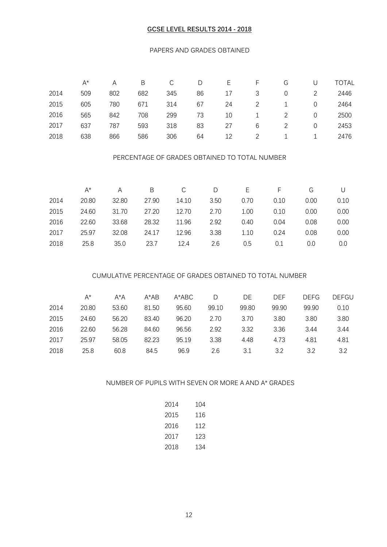#### **GCSE LEVEL RESULTS 2014 - 2018**

#### PAPERS AND GRADES OBTAINED

|      | $A^*$ | Α   | B   | С   | D  | Е  |   | G | U | <b>TOTAL</b> |
|------|-------|-----|-----|-----|----|----|---|---|---|--------------|
| 2014 | 509   | 802 | 682 | 345 | 86 | 17 | 3 | 0 |   | 2446         |
| 2015 | 605   | 780 | 671 | 314 | 67 | 24 |   |   | 0 | 2464         |
| 2016 | 565   | 842 | 708 | 299 | 73 | 10 |   |   | 0 | 2500         |
| 2017 | 637   | 787 | 593 | 318 | 83 | 27 | 6 |   | 0 | 2453         |
| 2018 | 638   | 866 | 586 | 306 | 64 | 12 |   |   |   | 2476         |

#### PERCENTAGE OF GRADES OBTAINED TO TOTAL NUMBER

|      | A*    |       | B     | C     | D    | F.   |      | G    |      |
|------|-------|-------|-------|-------|------|------|------|------|------|
| 2014 | 20.80 | 32.80 | 27.90 | 14.10 | 3.50 | 0.70 | 0.10 | 0.00 | 0.10 |
| 2015 | 24.60 | 31.70 | 27.20 | 12.70 | 2.70 | 1.00 | 0.10 | 0.00 | 0.00 |
| 2016 | 22.60 | 33.68 | 28.32 | 11.96 | 2.92 | 0.40 | 0.04 | 0.08 | 0.00 |
| 2017 | 25.97 | 32.08 | 24.17 | 12.96 | 3.38 | 1.10 | 0.24 | 0.08 | 0.00 |
| 2018 | 25.8  | 35.0  | 23.7  | 12.4  | 2.6  | 0.5  | 0.1  | 0.0  | 0.0  |

## CUMULATIVE PERCENTAGE OF GRADES OBTAINED TO TOTAL NUMBER

|      | $A^*$ | $A^*A$ | $A^*AB$ | A*ABC | D     | DE    | DEF   | <b>DEFG</b> | <b>DEFGU</b> |
|------|-------|--------|---------|-------|-------|-------|-------|-------------|--------------|
| 2014 | 20.80 | 53.60  | 81.50   | 95.60 | 99.10 | 99.80 | 99.90 | 99.90       | 0.10         |
| 2015 | 24.60 | 56.20  | 83.40   | 96.20 | 2.70  | 3.70  | 3.80  | 3.80        | 3.80         |
| 2016 | 22.60 | 56.28  | 84.60   | 96.56 | 2.92  | 3.32  | 3.36  | 3.44        | 3.44         |
| 2017 | 25.97 | 58.05  | 82.23   | 95.19 | 3.38  | 4.48  | 4.73  | 4.81        | 4.81         |
| 2018 | 25.8  | 60.8   | 84.5    | 96.9  | 2.6   | 3.1   | 3.2   | 3.2         | 3.2          |

## NUMBER OF PUPILS WITH SEVEN OR MORE A AND A\* GRADES

| 2014 | 104 |
|------|-----|
| 2015 | 116 |
| 2016 | 112 |
| 2017 | 123 |
| 2018 | 134 |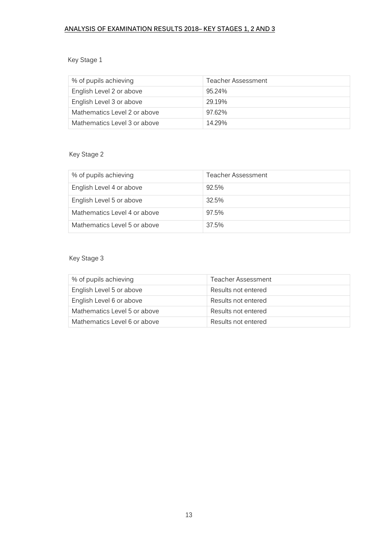## **ANALYSIS OF EXAMINATION RESULTS 2018– KEY STAGES 1, 2 AND 3**

## Key Stage 1

| % of pupils achieving        | Teacher Assessment |
|------------------------------|--------------------|
| English Level 2 or above     | 95.24%             |
| English Level 3 or above     | 29.19%             |
| Mathematics Level 2 or above | 97.62%             |
| Mathematics Level 3 or above | 14 29%             |

## Key Stage 2

| % of pupils achieving        | Teacher Assessment |
|------------------------------|--------------------|
| English Level 4 or above     | 92.5%              |
| English Level 5 or above     | 32.5%              |
| Mathematics Level 4 or above | 97.5%              |
| Mathematics Level 5 or above | 37.5%              |

## Key Stage 3

| % of pupils achieving        | Teacher Assessment  |
|------------------------------|---------------------|
| English Level 5 or above     | Results not entered |
| English Level 6 or above     | Results not entered |
| Mathematics Level 5 or above | Results not entered |
| Mathematics Level 6 or above | Results not entered |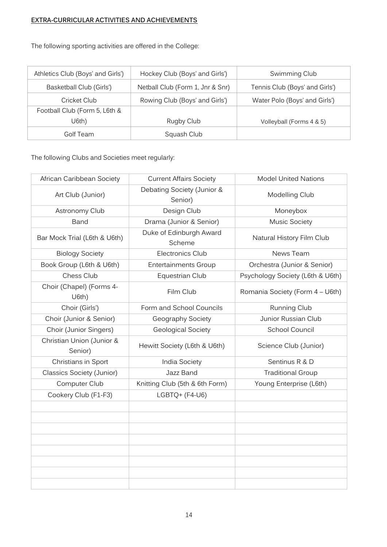## **EXTRA-CURRICULAR ACTIVITIES AND ACHIEVEMENTS**

The following sporting activities are offered in the College:

| Athletics Club (Boys' and Girls') | Hockey Club (Boys' and Girls')   | Swimming Club                  |
|-----------------------------------|----------------------------------|--------------------------------|
| Basketball Club (Girls')          | Netball Club (Form 1, Jnr & Snr) | Tennis Club (Boys' and Girls') |
| Cricket Club                      | Rowing Club (Boys' and Girls')   | Water Polo (Boys' and Girls')  |
| Football Club (Form 5, L6th &     |                                  |                                |
| U6th)                             | Rugby Club                       | Volleyball (Forms 4 & 5)       |
| Golf Team                         | Squash Club                      |                                |

The following Clubs and Societies meet regularly:

| African Caribbean Society            | <b>Current Affairs Society</b>        | <b>Model United Nations</b>      |
|--------------------------------------|---------------------------------------|----------------------------------|
| Art Club (Junior)                    | Debating Society (Junior &<br>Senior) | Modelling Club                   |
| Astronomy Club                       | Design Club                           | Moneybox                         |
| Band                                 | Drama (Junior & Senior)               | Music Society                    |
| Bar Mock Trial (L6th & U6th)         | Duke of Edinburgh Award<br>Scheme     | Natural History Film Club        |
| <b>Biology Society</b>               | Electronics Club                      | News Team                        |
| Book Group (L6th & U6th)             | <b>Entertainments Group</b>           | Orchestra (Junior & Senior)      |
| Chess Club                           | Equestrian Club                       | Psychology Society (L6th & U6th) |
| Choir (Chapel) (Forms 4-<br>U6th)    | Film Club                             | Romania Society (Form 4 - U6th)  |
| Choir (Girls')                       | Form and School Councils              | Running Club                     |
| Choir (Junior & Senior)              | Geography Society                     | Junior Russian Club              |
| Choir (Junior Singers)               | Geological Society                    | School Council                   |
| Christian Union (Junior &<br>Senior) | Hewitt Society (L6th & U6th)          | Science Club (Junior)            |
| Christians in Sport                  | India Society                         | Sentinus R & D                   |
| Classics Society (Junior)            | Jazz Band                             | <b>Traditional Group</b>         |
| Computer Club                        | Knitting Club (5th & 6th Form)        | Young Enterprise (L6th)          |
| Cookery Club (F1-F3)                 | LGBTQ+ (F4-U6)                        |                                  |
|                                      |                                       |                                  |
|                                      |                                       |                                  |
|                                      |                                       |                                  |
|                                      |                                       |                                  |
|                                      |                                       |                                  |
|                                      |                                       |                                  |
|                                      |                                       |                                  |
|                                      |                                       |                                  |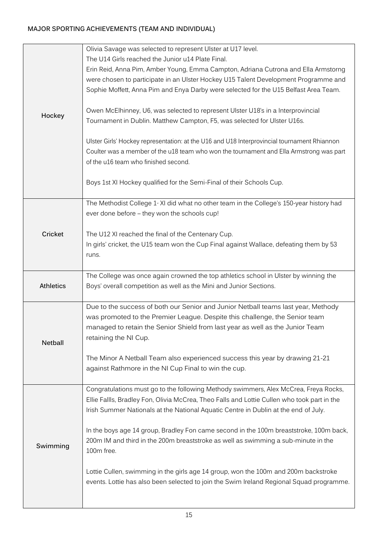## **MAJOR SPORTING ACHIEVEMENTS (TEAM AND INDIVIDUAL)**

|                  | Olivia Savage was selected to represent Ulster at U17 level.                                                                                                                 |
|------------------|------------------------------------------------------------------------------------------------------------------------------------------------------------------------------|
|                  | The U14 Girls reached the Junior u14 Plate Final.                                                                                                                            |
|                  | Erin Reid, Anna Pim, Amber Young, Emma Campton, Adriana Cutrona and Ella Armstorng                                                                                           |
|                  | were chosen to participate in an Ulster Hockey U15 Talent Development Programme and                                                                                          |
|                  | Sophie Moffett, Anna Pim and Enya Darby were selected for the U15 Belfast Area Team.                                                                                         |
|                  |                                                                                                                                                                              |
| Hockey           | Owen McElhinney, U6, was selected to represent Ulster U18's in a Interprovincial                                                                                             |
|                  | Tournament in Dublin. Matthew Campton, F5, was selected for Ulster U16s.                                                                                                     |
|                  |                                                                                                                                                                              |
|                  | Ulster Girls' Hockey representation: at the U16 and U18 Interprovincial tournament Rhiannon                                                                                  |
|                  | Coulter was a member of the u18 team who won the tournament and Ella Armstrong was part                                                                                      |
|                  | of the u16 team who finished second.                                                                                                                                         |
|                  |                                                                                                                                                                              |
|                  | Boys 1st XI Hockey qualified for the Semi-Final of their Schools Cup.                                                                                                        |
|                  |                                                                                                                                                                              |
|                  | The Methodist College 1-XI did what no other team in the College's 150-year history had                                                                                      |
|                  | ever done before - they won the schools cup!                                                                                                                                 |
|                  |                                                                                                                                                                              |
| Cricket          | The U12 XI reached the final of the Centenary Cup.<br>In girls' cricket, the U15 team won the Cup Final against Wallace, defeating them by 53                                |
|                  | runs.                                                                                                                                                                        |
|                  |                                                                                                                                                                              |
|                  | The College was once again crowned the top athletics school in Ulster by winning the                                                                                         |
|                  |                                                                                                                                                                              |
| <b>Athletics</b> |                                                                                                                                                                              |
|                  | Boys' overall competition as well as the Mini and Junior Sections.                                                                                                           |
|                  | Due to the success of both our Senior and Junior Netball teams last year, Methody                                                                                            |
|                  | was promoted to the Premier League. Despite this challenge, the Senior team                                                                                                  |
|                  | managed to retain the Senior Shield from last year as well as the Junior Team                                                                                                |
|                  | retaining the NI Cup.                                                                                                                                                        |
| <b>Netball</b>   |                                                                                                                                                                              |
|                  | The Minor A Netball Team also experienced success this year by drawing 21-21                                                                                                 |
|                  | against Rathmore in the NI Cup Final to win the cup.                                                                                                                         |
|                  |                                                                                                                                                                              |
|                  | Congratulations must go to the following Methody swimmers, Alex McCrea, Freya Rocks,                                                                                         |
|                  | Ellie Fallls, Bradley Fon, Olivia McCrea, Theo Falls and Lottie Cullen who took part in the                                                                                  |
|                  | Irish Summer Nationals at the National Aquatic Centre in Dublin at the end of July.                                                                                          |
|                  |                                                                                                                                                                              |
|                  | In the boys age 14 group, Bradley Fon came second in the 100m breaststroke, 100m back,<br>200m IM and third in the 200m breaststroke as well as swimming a sub-minute in the |
| Swimming         | 100m free.                                                                                                                                                                   |
|                  |                                                                                                                                                                              |
|                  | Lottie Cullen, swimming in the girls age 14 group, won the 100m and 200m backstroke                                                                                          |
|                  | events. Lottie has also been selected to join the Swim Ireland Regional Squad programme.                                                                                     |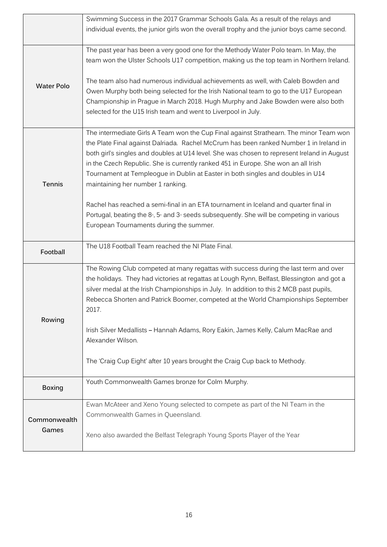|                   | Swimming Success in the 2017 Grammar Schools Gala. As a result of the relays and                                                                                                                                                                                                                                                                                                                                                                                                              |
|-------------------|-----------------------------------------------------------------------------------------------------------------------------------------------------------------------------------------------------------------------------------------------------------------------------------------------------------------------------------------------------------------------------------------------------------------------------------------------------------------------------------------------|
|                   | individual events, the junior girls won the overall trophy and the junior boys came second.                                                                                                                                                                                                                                                                                                                                                                                                   |
|                   | The past year has been a very good one for the Methody Water Polo team. In May, the<br>team won the Ulster Schools U17 competition, making us the top team in Northern Ireland.                                                                                                                                                                                                                                                                                                               |
| <b>Water Polo</b> | The team also had numerous individual achievements as well, with Caleb Bowden and<br>Owen Murphy both being selected for the Irish National team to go to the U17 European<br>Championship in Prague in March 2018. Hugh Murphy and Jake Bowden were also both<br>selected for the U15 Irish team and went to Liverpool in July.                                                                                                                                                              |
| Tennis            | The intermediate Girls A Team won the Cup Final against Strathearn. The minor Team won<br>the Plate Final against Dalriada. Rachel McCrum has been ranked Number 1 in Ireland in<br>both girl's singles and doubles at U14 level. She was chosen to represent Ireland in August<br>in the Czech Republic. She is currently ranked 451 in Europe. She won an all Irish<br>Tournament at Templeogue in Dublin at Easter in both singles and doubles in U14<br>maintaining her number 1 ranking. |
|                   | Rachel has reached a semi-final in an ETA tournament in Iceland and quarter final in<br>Portugal, beating the 8 <sup>®</sup> , 5 <sup>®</sup> and 3 <sup>®</sup> seeds subsequently. She will be competing in various<br>European Tournaments during the summer.                                                                                                                                                                                                                              |
| Football          | The U18 Football Team reached the NI Plate Final.                                                                                                                                                                                                                                                                                                                                                                                                                                             |
|                   | The Rowing Club competed at many regattas with success during the last term and over<br>the holidays. They had victories at regattas at Lough Rynn, Belfast, Blessington and got a<br>silver medal at the Irish Championships in July. In addition to this 2 MCB past pupils,<br>Rebecca Shorten and Patrick Boomer, competed at the World Championships September<br>2017.                                                                                                                   |
| Rowing            | Irish Silver Medallists - Hannah Adams, Rory Eakin, James Kelly, Calum MacRae and<br>Alexander Wilson.                                                                                                                                                                                                                                                                                                                                                                                        |
|                   | The 'Craig Cup Eight' after 10 years brought the Craig Cup back to Methody.                                                                                                                                                                                                                                                                                                                                                                                                                   |
| <b>Boxing</b>     | Youth Commonwealth Games bronze for Colm Murphy.                                                                                                                                                                                                                                                                                                                                                                                                                                              |
| Commonwealth      | Ewan McAteer and Xeno Young selected to compete as part of the NI Team in the<br>Commonwealth Games in Queensland.                                                                                                                                                                                                                                                                                                                                                                            |
| Games             | Xeno also awarded the Belfast Telegraph Young Sports Player of the Year                                                                                                                                                                                                                                                                                                                                                                                                                       |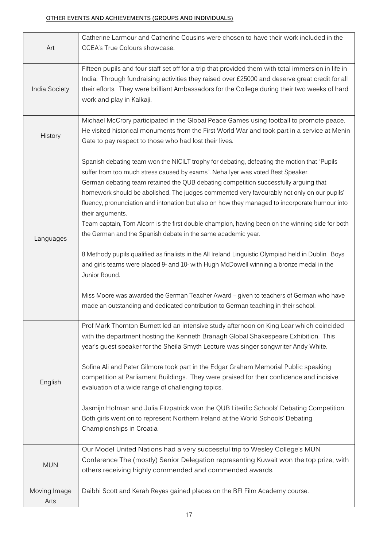## **OTHER EVENTS AND ACHIEVEMENTS (GROUPS AND INDIVIDUALS)**

| Art                  | Catherine Larmour and Catherine Cousins were chosen to have their work included in the<br>CCEA's True Colours showcase.                                                                                                                                                                                                                                                                                                                                                                                                                                                                                                                                                                                                                                                                                                                                                                                                                                                                                                                                                                  |
|----------------------|------------------------------------------------------------------------------------------------------------------------------------------------------------------------------------------------------------------------------------------------------------------------------------------------------------------------------------------------------------------------------------------------------------------------------------------------------------------------------------------------------------------------------------------------------------------------------------------------------------------------------------------------------------------------------------------------------------------------------------------------------------------------------------------------------------------------------------------------------------------------------------------------------------------------------------------------------------------------------------------------------------------------------------------------------------------------------------------|
| India Society        | Fifteen pupils and four staff set off for a trip that provided them with total immersion in life in<br>India. Through fundraising activities they raised over £25000 and deserve great credit for all<br>their efforts. They were brilliant Ambassadors for the College during their two weeks of hard<br>work and play in Kalkaji.                                                                                                                                                                                                                                                                                                                                                                                                                                                                                                                                                                                                                                                                                                                                                      |
| History              | Michael McCrory participated in the Global Peace Games using football to promote peace.<br>He visited historical monuments from the First World War and took part in a service at Menin<br>Gate to pay respect to those who had lost their lives.                                                                                                                                                                                                                                                                                                                                                                                                                                                                                                                                                                                                                                                                                                                                                                                                                                        |
| Languages            | Spanish debating team won the NICILT trophy for debating, defeating the motion that "Pupils"<br>suffer from too much stress caused by exams". Neha Iyer was voted Best Speaker.<br>German debating team retained the QUB debating competition successfully arguing that<br>homework should be abolished. The judges commented very favourably not only on our pupils'<br>fluency, pronunciation and intonation but also on how they managed to incorporate humour into<br>their arguments.<br>Team captain, Tom Alcorn is the first double champion, having been on the winning side for both<br>the German and the Spanish debate in the same academic year.<br>8 Methody pupils qualified as finalists in the All Ireland Linguistic Olympiad held in Dublin. Boys<br>and girls teams were placed 9 <sup>®</sup> and 10 <sup>®</sup> with Hugh McDowell winning a bronze medal in the<br>Junior Round.<br>Miss Moore was awarded the German Teacher Award - given to teachers of German who have<br>made an outstanding and dedicated contribution to German teaching in their school. |
| English              | Prof Mark Thornton Burnett led an intensive study afternoon on King Lear which coincided<br>with the department hosting the Kenneth Branagh Global Shakespeare Exhibition. This<br>year's guest speaker for the Sheila Smyth Lecture was singer songwriter Andy White.<br>Sofina Ali and Peter Gilmore took part in the Edgar Graham Memorial Public speaking<br>competition at Parliament Buildings. They were praised for their confidence and incisive<br>evaluation of a wide range of challenging topics.<br>Jasmijn Hofman and Julia Fitzpatrick won the QUB Literific Schools' Debating Competition.<br>Both girls went on to represent Northern Ireland at the World Schools' Debating<br>Championships in Croatia                                                                                                                                                                                                                                                                                                                                                               |
| <b>MUN</b>           | Our Model United Nations had a very successful trip to Wesley College's MUN<br>Conference The (mostly) Senior Delegation representing Kuwait won the top prize, with<br>others receiving highly commended and commended awards.                                                                                                                                                                                                                                                                                                                                                                                                                                                                                                                                                                                                                                                                                                                                                                                                                                                          |
| Moving Image<br>Arts | Daibhi Scott and Kerah Reyes gained places on the BFI Film Academy course.                                                                                                                                                                                                                                                                                                                                                                                                                                                                                                                                                                                                                                                                                                                                                                                                                                                                                                                                                                                                               |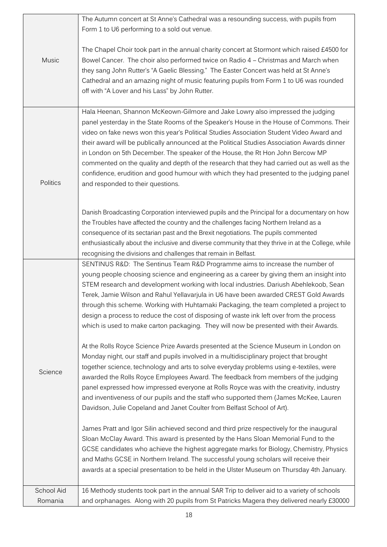|            | The Autumn concert at St Anne's Cathedral was a resounding success, with pupils from                                                                                                    |
|------------|-----------------------------------------------------------------------------------------------------------------------------------------------------------------------------------------|
|            | Form 1 to U6 performing to a sold out venue.                                                                                                                                            |
| Music      | The Chapel Choir took part in the annual charity concert at Stormont which raised £4500 for<br>Bowel Cancer. The choir also performed twice on Radio 4 - Christmas and March when       |
|            | they sang John Rutter's "A Gaelic Blessing." The Easter Concert was held at St Anne's                                                                                                   |
|            | Cathedral and an amazing night of music featuring pupils from Form 1 to U6 was rounded                                                                                                  |
|            | off with "A Lover and his Lass" by John Rutter.                                                                                                                                         |
|            | Hala Heenan, Shannon McKeown-Gilmore and Jake Lowry also impressed the judging                                                                                                          |
|            | panel yesterday in the State Rooms of the Speaker's House in the House of Commons. Their<br>video on fake news won this year's Political Studies Association Student Video Award and    |
|            | their award will be publically announced at the Political Studies Association Awards dinner                                                                                             |
|            | in London on 5th December. The speaker of the House, the Rt Hon John Bercow MP<br>commented on the quality and depth of the research that they had carried out as well as the           |
|            | confidence, erudition and good humour with which they had presented to the judging panel                                                                                                |
| Politics   | and responded to their questions.                                                                                                                                                       |
|            |                                                                                                                                                                                         |
|            | Danish Broadcasting Corporation interviewed pupils and the Principal for a documentary on how<br>the Troubles have affected the country and the challenges facing Northern Ireland as a |
|            | consequence of its sectarian past and the Brexit negotiations. The pupils commented                                                                                                     |
|            | enthusiastically about the inclusive and diverse community that they thrive in at the College, while                                                                                    |
|            | recognising the divisions and challenges that remain in Belfast.<br>SENTINUS R&D: The Sentinus Team R&D Programme aims to increase the number of                                        |
|            | young people choosing science and engineering as a career by giving them an insight into                                                                                                |
|            | STEM research and development working with local industries. Dariush Abehlekoob, Sean                                                                                                   |
|            | Terek, Jamie Wilson and Rahul Yellavarjula in U6 have been awarded CREST Gold Awards<br>through this scheme. Working with Huhtamaki Packaging, the team completed a project to          |
|            | design a process to reduce the cost of disposing of waste ink left over from the process                                                                                                |
|            | which is used to make carton packaging. They will now be presented with their Awards.                                                                                                   |
|            | At the Rolls Royce Science Prize Awards presented at the Science Museum in London on                                                                                                    |
|            | Monday night, our staff and pupils involved in a multidisciplinary project that brought<br>together science, technology and arts to solve everyday problems using e-textiles, were      |
| Science    | awarded the Rolls Royce Employees Award. The feedback from members of the judging                                                                                                       |
|            | panel expressed how impressed everyone at Rolls Royce was with the creativity, industry                                                                                                 |
|            | and inventiveness of our pupils and the staff who supported them (James McKee, Lauren<br>Davidson, Julie Copeland and Janet Coulter from Belfast School of Art).                        |
|            | James Pratt and Igor Silin achieved second and third prize respectively for the inaugural                                                                                               |
|            | Sloan McClay Award. This award is presented by the Hans Sloan Memorial Fund to the                                                                                                      |
|            | GCSE candidates who achieve the highest aggregate marks for Biology, Chemistry, Physics                                                                                                 |
|            | and Maths GCSE in Northern Ireland. The successful young scholars will receive their<br>awards at a special presentation to be held in the Ulster Museum on Thursday 4th January.       |
|            |                                                                                                                                                                                         |
| School Aid | 16 Methody students took part in the annual SAR Trip to deliver aid to a variety of schools                                                                                             |
| Romania    | and orphanages. Along with 20 pupils from St Patricks Magera they delivered nearly £30000                                                                                               |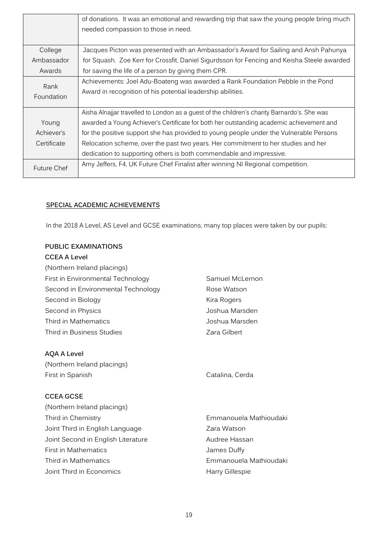|             | of donations. It was an emotional and rewarding trip that saw the young people bring much   |
|-------------|---------------------------------------------------------------------------------------------|
|             | needed compassion to those in need.                                                         |
|             |                                                                                             |
| College     | Jacques Picton was presented with an Ambassador's Award for Sailing and Ansh Pahunya        |
| Ambassador  | for Squash. Zoe Kerr for Crossfit, Daniel Sigurdsson for Fencing and Keisha Steele awarded  |
| Awards      | for saving the life of a person by giving them CPR.                                         |
| Rank        | Achievements: Joel Adu-Boateng was awarded a Rank Foundation Pebble in the Pond             |
|             | Award in recognition of his potential leadership abilities.                                 |
| Foundation  |                                                                                             |
|             | Aisha Alnajjar travelled to London as a guest of the children's charity Barnardo's. She was |
| Young       | awarded a Young Achiever's Certificate for both her outstanding academic achievement and    |
| Achiever's  | for the positive support she has provided to young people under the Vulnerable Persons      |
| Certificate | Relocation scheme, over the past two years. Her commitment to her studies and her           |
|             | dedication to supporting others is both commendable and impressive.                         |
| Future Chef | Amy Jeffers, F4, UK Future Chef Finalist after winning NI Regional competition.             |
|             |                                                                                             |

## **SPECIAL ACADEMIC ACHIEVEMENTS**

In the 2018 A Level, AS Level and GCSE examinations, many top places were taken by our pupils:

## **PUBLIC EXAMINATIONS**

## **CCEA A Level**

| (Northern Ireland placings)        |                 |
|------------------------------------|-----------------|
| First in Environmental Technology  | Samuel McLernon |
| Second in Environmental Technology | Rose Watson     |
| Second in Biology                  | Kira Rogers     |
| Second in Physics                  | Joshua Marsden  |
| Third in Mathematics               | Joshua Marsden  |
| Third in Business Studies          | Zara Gilbert    |
|                                    |                 |

## **AQA A Level**

(Northern Ireland placings) First in Spanish Catalina, Cerda

## **CCEA GCSE**

| (Northern Ireland placings)        |                        |
|------------------------------------|------------------------|
| Third in Chemistry                 | Emmanouela Mathioudaki |
| Joint Third in English Language    | Zara Watson            |
| Joint Second in English Literature | Audree Hassan          |
| First in Mathematics               | James Duffy            |
| Third in Mathematics               | Emmanouela Mathioudaki |
| Joint Third in Economics           | Harry Gillespie        |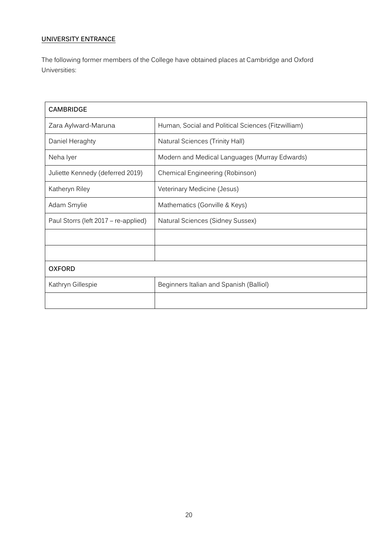## **UNIVERSITY ENTRANCE**

The following former members of the College have obtained places at Cambridge and Oxford Universities:

| <b>CAMBRIDGE</b>                     |                                                    |
|--------------------------------------|----------------------------------------------------|
| Zara Aylward-Maruna                  | Human, Social and Political Sciences (Fitzwilliam) |
| Daniel Heraghty                      | <b>Natural Sciences (Trinity Hall)</b>             |
| Neha Iyer                            | Modern and Medical Languages (Murray Edwards)      |
| Juliette Kennedy (deferred 2019)     | Chemical Engineering (Robinson)                    |
| Katheryn Riley                       | Veterinary Medicine (Jesus)                        |
| Adam Smylie                          | Mathematics (Gonville & Keys)                      |
| Paul Storrs (left 2017 – re-applied) | Natural Sciences (Sidney Sussex)                   |
|                                      |                                                    |
|                                      |                                                    |
| <b>OXFORD</b>                        |                                                    |
| Kathryn Gillespie                    | Beginners Italian and Spanish (Balliol)            |
|                                      |                                                    |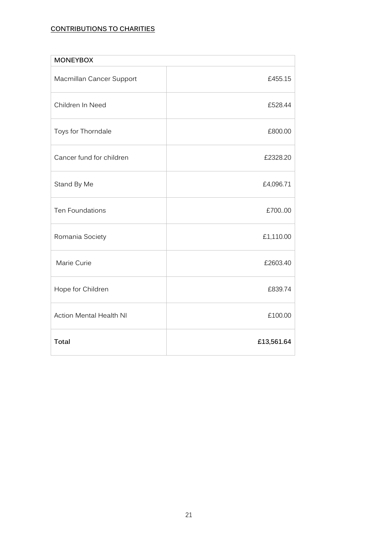## **CONTRIBUTIONS TO CHARITIES**

| <b>MONEYBOX</b>                |            |
|--------------------------------|------------|
| Macmillan Cancer Support       | £455.15    |
| Children In Need               | £528.44    |
| Toys for Thorndale             | £800.00    |
| Cancer fund for children       | £2328.20   |
| Stand By Me                    | £4,096.71  |
| Ten Foundations                | £700.00    |
| Romania Society                | £1,110.00  |
| Marie Curie                    | £2603.40   |
| Hope for Children              | £839.74    |
| <b>Action Mental Health NI</b> | £100.00    |
| <b>Total</b>                   | £13,561.64 |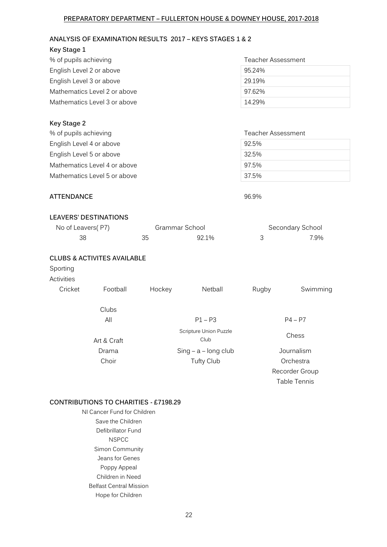#### **PREPARATORY DEPARTMENT – FULLERTON HOUSE & DOWNEY HOUSE, 2017-2018**

## **ANALYSIS OF EXAMINATION RESULTS 2017 – KEYS STAGES 1 & 2**

| Key Stage 1                  |                    |
|------------------------------|--------------------|
| % of pupils achieving        | Teacher Assessment |
| English Level 2 or above     | 95.24%             |
| English Level 3 or above     | 29.19%             |
| Mathematics Level 2 or above | 97.62%             |
| Mathematics Level 3 or above | 14.29%             |

| Key Stage 2                  |                    |
|------------------------------|--------------------|
| % of pupils achieving        | Teacher Assessment |
| English Level 4 or above     | 92.5%              |
| English Level 5 or above     | 32.5%              |
| Mathematics Level 4 or above | 97.5%              |
| Mathematics Level 5 or above | 37.5%              |
|                              |                    |

## **ATTENDANCE** 96.9%

#### **LEAVERS' DESTINATIONS**

| No of Leavers(P7) | Grammar School | Secondary School |
|-------------------|----------------|------------------|
| 38                | 92.1%          | 7.9%             |

#### **CLUBS & ACTIVITES AVAILABLE**

## Sporting

## Activities

| Cricket | Football    | Hockey | Netball                        | Rugby | Swimming       |
|---------|-------------|--------|--------------------------------|-------|----------------|
|         | Clubs       |        |                                |       |                |
|         | All         |        | $P1 - P3$                      |       | $P4 - P7$      |
|         | Art & Craft |        | Scripture Union Puzzle<br>Club |       | Chess          |
|         | Drama       |        | $Sing - a - long club$         |       | Journalism     |
|         | Choir       |        | <b>Tufty Club</b>              |       | Orchestra      |
|         |             |        |                                |       | Recorder Group |
|         |             |        |                                |       | Table Tennis   |

#### **CONTRIBUTIONS TO CHARITIES - £7198.29**

NI Cancer Fund for Children Save the Children Defibrillator Fund NSPCC Simon Community Jeans for Genes Poppy Appeal Children in Need Belfast Central Mission Hope for Children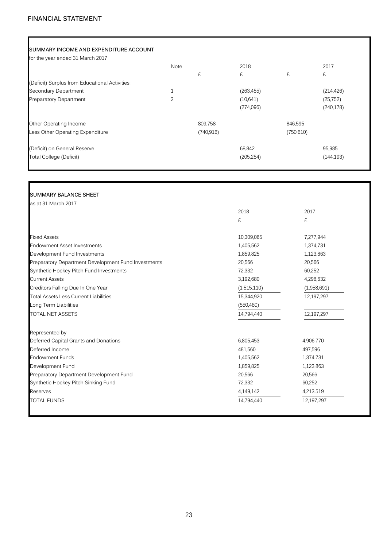#### **SUMMARY INCOME AND EXPENDITURE ACCOUNT**

for the year ended 31 March 2017

|                                                | Note |            | 2018       |            | 2017       |
|------------------------------------------------|------|------------|------------|------------|------------|
|                                                |      | £          | £          | £          | £          |
| (Deficit) Surplus from Educational Activities: |      |            |            |            |            |
| Secondary Department                           | 1    |            | (263, 455) |            | (214, 426) |
| <b>Preparatory Department</b>                  | 2    |            | (10,641)   |            | (25, 752)  |
|                                                |      |            | (274,096)  |            | (240, 178) |
| Other Operating Income                         |      | 809,758    |            | 846,595    |            |
| Less Other Operating Expenditure               |      | (740, 916) |            | (750, 610) |            |
| (Deficit) on General Reserve                   |      |            | 68,842     |            | 95,985     |
| <b>Total College (Deficit)</b>                 |      |            | (205, 254) |            | (144, 193) |
|                                                |      |            |            |            |            |

#### **SUMMARY BALANCE SHEET**

| as at 31 March 2017                                 |             |             |
|-----------------------------------------------------|-------------|-------------|
|                                                     | 2018        | 2017        |
|                                                     | £           | £           |
| <b>Fixed Assets</b>                                 | 10,309,065  | 7,277,944   |
| <b>Endowment Asset Investments</b>                  | 1,405,562   | 1,374,731   |
| Development Fund Investments                        | 1,859,825   | 1,123,863   |
| Preparatory Department Development Fund Investments | 20,566      | 20,566      |
| Synthetic Hockey Pitch Fund Investments             | 72,332      | 60,252      |
| <b>Current Assets</b>                               | 3,192,680   | 4,298,632   |
| Creditors Falling Due In One Year                   | (1,515,110) | (1,958,691) |
| <b>Total Assets Less Current Liabilities</b>        | 15,344,920  | 12,197,297  |
| Long Term Liabilities                               | (550, 480)  |             |
| <b>TOTAL NET ASSETS</b>                             | 14,794,440  | 12,197,297  |
| Represented by                                      |             |             |
| Deferred Capital Grants and Donations               | 6,805,453   | 4,906,770   |
| Deferred Income                                     | 481,560     | 497,596     |
| <b>Endowment Funds</b>                              | 1,405,562   | 1,374,731   |
| Development Fund                                    | 1,859,825   | 1,123,863   |
| Preparatory Department Development Fund             | 20,566      | 20,566      |
| Synthetic Hockey Pitch Sinking Fund                 | 72,332      | 60,252      |
| Reserves                                            | 4,149,142   | 4,213,519   |
| <b>TOTAL FUNDS</b>                                  | 14,794,440  | 12,197,297  |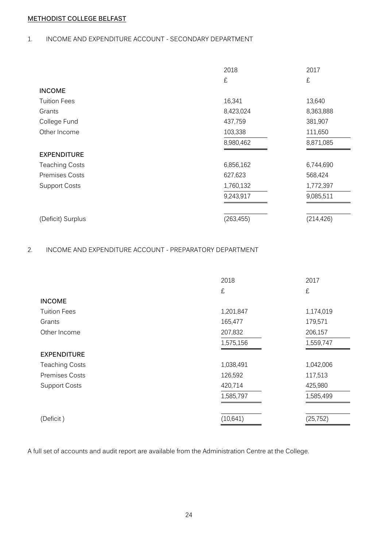## **METHODIST COLLEGE BELFAST**

## 1. INCOME AND EXPENDITURE ACCOUNT - SECONDARY DEPARTMENT

|                       | 2018       | 2017       |
|-----------------------|------------|------------|
|                       | £          | £          |
| <b>INCOME</b>         |            |            |
| <b>Tuition Fees</b>   | 16,341     | 13,640     |
| Grants                | 8,423,024  | 8,363,888  |
| College Fund          | 437,759    | 381,907    |
| Other Income          | 103,338    | 111,650    |
|                       | 8,980,462  | 8,871,085  |
| <b>EXPENDITURE</b>    |            |            |
| <b>Teaching Costs</b> | 6,856,162  | 6,744,690  |
| <b>Premises Costs</b> | 627,623    | 568,424    |
| <b>Support Costs</b>  | 1,760,132  | 1,772,397  |
|                       | 9,243,917  | 9,085,511  |
| (Deficit) Surplus     | (263, 455) | (214, 426) |

## 2. INCOME AND EXPENDITURE ACCOUNT - PREPARATORY DEPARTMENT

|                       | 2018      | 2017      |
|-----------------------|-----------|-----------|
|                       | £         | £         |
| <b>INCOME</b>         |           |           |
| <b>Tuition Fees</b>   | 1,201,847 | 1,174,019 |
| Grants                | 165,477   | 179,571   |
| Other Income          | 207,832   | 206,157   |
|                       | 1,575,156 | 1,559,747 |
| <b>EXPENDITURE</b>    |           |           |
| <b>Teaching Costs</b> | 1,038,491 | 1,042,006 |
| <b>Premises Costs</b> | 126,592   | 117,513   |
| <b>Support Costs</b>  | 420,714   | 425,980   |
|                       | 1,585,797 | 1,585,499 |
| (Deficit)             | (10, 641) | (25, 752) |

A full set of accounts and audit report are available from the Administration Centre at the College.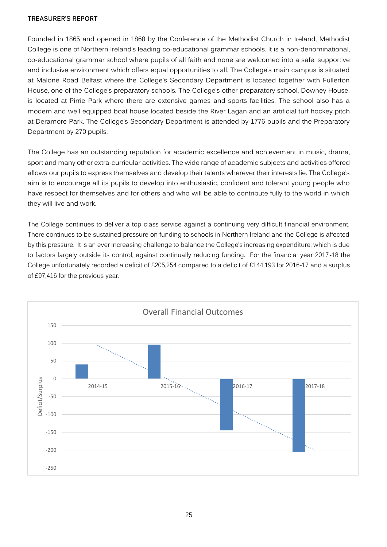## **TREASURER'S REPORT**

Founded in 1865 and opened in 1868 by the Conference of the Methodist Church in Ireland, Methodist College is one of Northern Ireland's leading co-educational grammar schools. It is a non-denominational, co-educational grammar school where pupils of all faith and none are welcomed into a safe, supportive and inclusive environment which offers equal opportunities to all. The College's main campus is situated at Malone Road Belfast where the College's Secondary Department is located together with Fullerton House, one of the College's preparatory schools. The College's other preparatory school, Downey House, is located at Pirrie Park where there are extensive games and sports facilities. The school also has a modern and well equipped boat house located beside the River Lagan and an artificial turf hockey pitch at Deramore Park. The College's Secondary Department is attended by 1776 pupils and the Preparatory Department by 270 pupils.

The College has an outstanding reputation for academic excellence and achievement in music, drama, sport and many other extra-curricular activities. The wide range of academic subjects and activities offered allows our pupils to express themselves and develop their talents wherever their interests lie. The College's aim is to encourage all its pupils to develop into enthusiastic, confident and tolerant young people who have respect for themselves and for others and who will be able to contribute fully to the world in which they will live and work.

The College continues to deliver a top class service against a continuing very difficult financial environment. There continues to be sustained pressure on funding to schools in Northern Ireland and the College is affected by this pressure. It is an ever increasing challenge to balance the College's increasing expenditure, which is due to factors largely outside its control, against continually reducing funding. For the financial year 2017-18 the College unfortunately recorded a deficit of £205,254 compared to a deficit of £144,193 for 2016-17 and a surplus of £97,416 for the previous year.

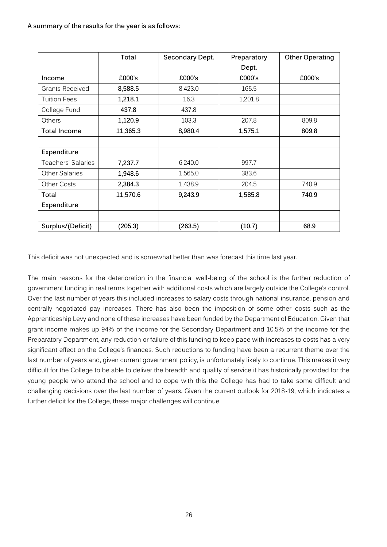**A summary of the results for the year is as follows:**

|                        | Total    | Secondary Dept. | Preparatory | <b>Other Operating</b> |
|------------------------|----------|-----------------|-------------|------------------------|
|                        |          |                 | Dept.       |                        |
| Income                 | £000's   | £000's          | £000's      | £000's                 |
| <b>Grants Received</b> | 8,588.5  | 8,423.0         | 165.5       |                        |
| <b>Tuition Fees</b>    | 1,218.1  | 16.3            | 1,201.8     |                        |
| College Fund           | 437.8    | 437.8           |             |                        |
| Others                 | 1,120.9  | 103.3           | 207.8       | 809.8                  |
| <b>Total Income</b>    | 11,365.3 | 8,980.4         | 1,575.1     | 809.8                  |
|                        |          |                 |             |                        |
| Expenditure            |          |                 |             |                        |
| Teachers' Salaries     | 7,237.7  | 6,240.0         | 997.7       |                        |
| <b>Other Salaries</b>  | 1,948.6  | 1,565.0         | 383.6       |                        |
| <b>Other Costs</b>     | 2,384.3  | 1,438.9         | 204.5       | 740.9                  |
| Total                  | 11,570.6 | 9,243.9         | 1,585.8     | 740.9                  |
| Expenditure            |          |                 |             |                        |
|                        |          |                 |             |                        |
| Surplus/(Deficit)      | (205.3)  | (263.5)         | (10.7)      | 68.9                   |

This deficit was not unexpected and is somewhat better than was forecast this time last year.

The main reasons for the deterioration in the financial well-being of the school is the further reduction of government funding in real terms together with additional costs which are largely outside the College's control. Over the last number of years this included increases to salary costs through national insurance, pension and centrally negotiated pay increases. There has also been the imposition of some other costs such as the Apprenticeship Levy and none of these increases have been funded by the Department of Education. Given that grant income makes up 94% of the income for the Secondary Department and 10.5% of the income for the Preparatory Department, any reduction or failure of this funding to keep pace with increases to costs has a very significant effect on the College's finances. Such reductions to funding have been a recurrent theme over the last number of years and, given current government policy, is unfortunately likely to continue. This makes it very difficult for the College to be able to deliver the breadth and quality of service it has historically provided for the young people who attend the school and to cope with this the College has had to take some difficult and challenging decisions over the last number of years. Given the current outlook for 2018-19, which indicates a further deficit for the College, these major challenges will continue.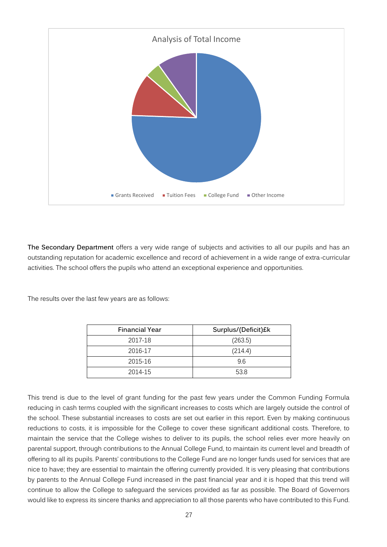

**The Secondary Department** offers a very wide range of subjects and activities to all our pupils and has an outstanding reputation for academic excellence and record of achievement in a wide range of extra-curricular activities. The school offers the pupils who attend an exceptional experience and opportunities.

The results over the last few years are as follows:

| <b>Financial Year</b> | Surplus/(Deficit)£k |
|-----------------------|---------------------|
| 2017-18               | (263.5)             |
| 2016-17               | (214.4)             |
| 2015-16               | 96                  |
| 2014-15               | 53.8                |

This trend is due to the level of grant funding for the past few years under the Common Funding Formula reducing in cash terms coupled with the significant increases to costs which are largely outside the control of the school. These substantial increases to costs are set out earlier in this report. Even by making continuous reductions to costs, it is impossible for the College to cover these significant additional costs. Therefore, to maintain the service that the College wishes to deliver to its pupils, the school relies ever more heavily on parental support, through contributions to the Annual College Fund, to maintain its current level and breadth of offering to all its pupils. Parents' contributions to the College Fund are no longer funds used for services that are nice to have; they are essential to maintain the offering currently provided. It is very pleasing that contributions by parents to the Annual College Fund increased in the past financial year and it is hoped that this trend will continue to allow the College to safeguard the services provided as far as possible. The Board of Governors would like to express its sincere thanks and appreciation to all those parents who have contributed to this Fund.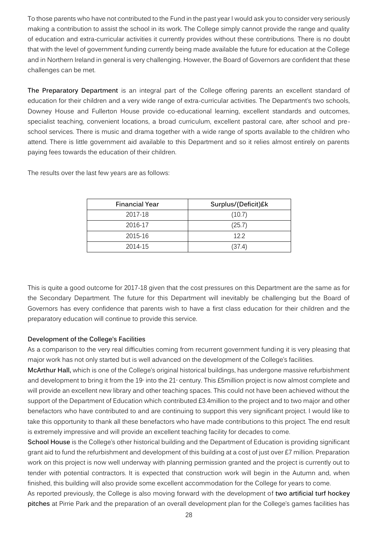To those parents who have not contributed to the Fund in the past year I would ask you to consider very seriously making a contribution to assist the school in its work. The College simply cannot provide the range and quality of education and extra-curricular activities it currently provides without these contributions. There is no doubt that with the level of government funding currently being made available the future for education at the College and in Northern Ireland in general is very challenging. However, the Board of Governors are confident that these challenges can be met.

**The Preparatory Department** is an integral part of the College offering parents an excellent standard of education for their children and a very wide range of extra-curricular activities. The Department's two schools, Downey House and Fullerton House provide co-educational learning, excellent standards and outcomes, specialist teaching, convenient locations, a broad curriculum, excellent pastoral care, after school and preschool services. There is music and drama together with a wide range of sports available to the children who attend. There is little government aid available to this Department and so it relies almost entirely on parents paying fees towards the education of their children.

The results over the last few years are as follows:

| <b>Financial Year</b> | Surplus/(Deficit)£k |
|-----------------------|---------------------|
| 2017-18               | (10.7)              |
| 2016-17               | (25.7)              |
| 2015-16               | 122                 |
| 2014-15               | (37.4)              |

This is quite a good outcome for 2017-18 given that the cost pressures on this Department are the same as for the Secondary Department. The future for this Department will inevitably be challenging but the Board of Governors has every confidence that parents wish to have a first class education for their children and the preparatory education will continue to provide this service.

## **Development of the College's Facilities**

As a comparison to the very real difficulties coming from recurrent government funding it is very pleasing that major work has not only started but is well advanced on the development of the College's facilities.

**McArthur Hall,** which is one of the College's original historical buildings, has undergone massive refurbishment and development to bring it from the 19<sup>th</sup> into the 21<sup>th</sup> century. This £5million project is now almost complete and will provide an excellent new library and other teaching spaces. This could not have been achieved without the support of the Department of Education which contributed £3.4million to the project and to two major and other benefactors who have contributed to and are continuing to support this very significant project. I would like to take this opportunity to thank all these benefactors who have made contributions to this project. The end result is extremely impressive and will provide an excellent teaching facility for decades to come.

**School House** is the College's other historical building and the Department of Education is providing significant grant aid to fund the refurbishment and development of this building at a cost of just over £7 million. Preparation work on this project is now well underway with planning permission granted and the project is currently out to tender with potential contractors. It is expected that construction work will begin in the Autumn and, when finished, this building will also provide some excellent accommodation for the College for years to come.

As reported previously, the College is also moving forward with the development of **two artificial turf hockey pitches** at Pirrie Park and the preparation of an overall development plan for the College's games facilities has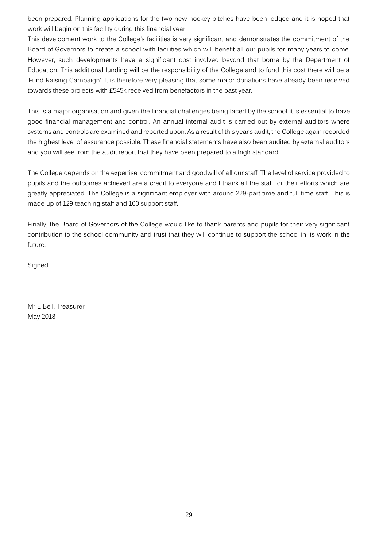been prepared. Planning applications for the two new hockey pitches have been lodged and it is hoped that work will begin on this facility during this financial year.

This development work to the College's facilities is very significant and demonstrates the commitment of the Board of Governors to create a school with facilities which will benefit all our pupils for many years to come. However, such developments have a significant cost involved beyond that borne by the Department of Education. This additional funding will be the responsibility of the College and to fund this cost there will be a 'Fund Raising Campaign'. It is therefore very pleasing that some major donations have already been received towards these projects with £545k received from benefactors in the past year.

This is a major organisation and given the financial challenges being faced by the school it is essential to have good financial management and control. An annual internal audit is carried out by external auditors where systems and controls are examined and reported upon. As a result of this year's audit, the College again recorded the highest level of assurance possible. These financial statements have also been audited by external auditors and you will see from the audit report that they have been prepared to a high standard.

The College depends on the expertise, commitment and goodwill of all our staff. The level of service provided to pupils and the outcomes achieved are a credit to everyone and I thank all the staff for their efforts which are greatly appreciated. The College is a significant employer with around 229-part time and full time staff. This is made up of 129 teaching staff and 100 support staff.

Finally, the Board of Governors of the College would like to thank parents and pupils for their very significant contribution to the school community and trust that they will continue to support the school in its work in the future.

Signed:

Mr E Bell, Treasurer May 2018